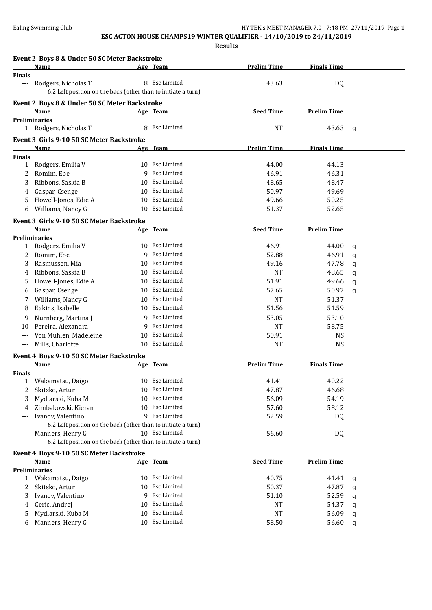### **ESC ACTON HOUSE CHAMPS19 WINTER QUALIFIER - 14/10/2019 to 24/11/2019**

|               | Event 2 Boys 8 & Under 50 SC Meter Backstroke<br>Name                                |    | Age Team           | <b>Prelim Time</b> | <b>Finals Time</b> |              |
|---------------|--------------------------------------------------------------------------------------|----|--------------------|--------------------|--------------------|--------------|
| <b>Finals</b> |                                                                                      |    |                    |                    |                    |              |
| $---$         | Rodgers, Nicholas T<br>6.2 Left position on the back (other than to initiate a turn) |    | 8 Esc Limited      | 43.63              | DQ                 |              |
|               | Event 2 Boys 8 & Under 50 SC Meter Backstroke                                        |    |                    |                    |                    |              |
|               | Name                                                                                 |    | Age Team           | <b>Seed Time</b>   | <b>Prelim Time</b> |              |
|               | <b>Preliminaries</b>                                                                 |    |                    |                    |                    |              |
|               | 1 Rodgers, Nicholas T                                                                |    | 8 Esc Limited      | <b>NT</b>          | 43.63              | $\mathbf q$  |
|               | Event 3 Girls 9-10 50 SC Meter Backstroke                                            |    |                    |                    |                    |              |
|               | Name                                                                                 |    | Age Team           | <b>Prelim Time</b> | <b>Finals Time</b> |              |
| <b>Finals</b> |                                                                                      |    |                    |                    |                    |              |
| $\mathbf{1}$  | Rodgers, Emilia V                                                                    |    | 10 Esc Limited     | 44.00              | 44.13              |              |
| 2             | Romim, Ebe                                                                           | 9  | Esc Limited        | 46.91              | 46.31              |              |
| 3             | Ribbons, Saskia B                                                                    | 10 | Esc Limited        | 48.65              | 48.47              |              |
| 4             | Gaspar, Csenge                                                                       | 10 | Esc Limited        | 50.97              | 49.69              |              |
| 5             | Howell-Jones, Edie A                                                                 | 10 | Esc Limited        | 49.66              | 50.25              |              |
| 6             | Williams, Nancy G                                                                    | 10 | <b>Esc Limited</b> | 51.37              | 52.65              |              |
|               | Event 3 Girls 9-10 50 SC Meter Backstroke                                            |    |                    |                    |                    |              |
|               |                                                                                      |    |                    | <b>Seed Time</b>   | <b>Prelim Time</b> |              |
|               | Name<br><b>Preliminaries</b>                                                         |    | Age Team           |                    |                    |              |
| $\mathbf{1}$  | Rodgers, Emilia V                                                                    |    | 10 Esc Limited     | 46.91              | 44.00              | q            |
| 2             | Romim, Ebe                                                                           | q  | Esc Limited        | 52.88              | 46.91              | $\mathbf{q}$ |
| 3             | Rasmussen, Mia                                                                       | 10 | <b>Esc Limited</b> | 49.16              | 47.78              | q            |
| 4             | Ribbons, Saskia B                                                                    | 10 | Esc Limited        | <b>NT</b>          | 48.65              | q            |
| 5.            | Howell-Jones, Edie A                                                                 |    | 10 Esc Limited     | 51.91              | 49.66              | q            |
| 6             | Gaspar, Csenge                                                                       |    | 10 Esc Limited     | 57.65              | 50.97              | a            |
| 7             | Williams, Nancy G                                                                    |    | 10 Esc Limited     | <b>NT</b>          | 51.37              |              |
| 8             | Eakins, Isabelle                                                                     |    | 10 Esc Limited     | 51.56              | 51.59              |              |
| 9             | Nurnberg, Martina J                                                                  | 9  | Esc Limited        | 53.05              | 53.10              |              |
| 10            | Pereira, Alexandra                                                                   | 9  | Esc Limited        | <b>NT</b>          | 58.75              |              |
|               | Von Muhlen, Madeleine                                                                | 10 | Esc Limited        | 50.91              | <b>NS</b>          |              |
| $---$         | Mills, Charlotte                                                                     | 10 | <b>Esc Limited</b> | <b>NT</b>          | <b>NS</b>          |              |
|               |                                                                                      |    |                    |                    |                    |              |
|               | Event 4 Boys 9-10 50 SC Meter Backstroke                                             |    |                    |                    |                    |              |
|               | Name                                                                                 |    | Age Team           | <b>Prelim Time</b> | <b>Finals Time</b> |              |
| <b>Finals</b> | 1 Wakamatsu, Daigo                                                                   |    | 10 Esc Limited     | 41.41              | 40.22              |              |
| 2             | Skitsko, Artur                                                                       |    | 10 Esc Limited     | 47.87              | 46.68              |              |
| 3             | Mydlarski, Kuba M                                                                    |    | 10 Esc Limited     | 56.09              | 54.19              |              |
|               | Zimbakovski, Kieran                                                                  |    | 10 Esc Limited     | 57.60              | 58.12              |              |
| 4             |                                                                                      |    | 9 Esc Limited      | 52.59              |                    |              |
| $---$         | Ivanov, Valentino<br>6.2 Left position on the back (other than to initiate a turn)   |    |                    |                    | DQ                 |              |
| $---$         | Manners, Henry G                                                                     |    | 10 Esc Limited     | 56.60              | DQ                 |              |
|               | 6.2 Left position on the back (other than to initiate a turn)                        |    |                    |                    |                    |              |
|               |                                                                                      |    |                    |                    |                    |              |
|               | Event 4 Boys 9-10 50 SC Meter Backstroke<br>Name                                     |    | Age Team           | <b>Seed Time</b>   | <b>Prelim Time</b> |              |
|               | <b>Preliminaries</b>                                                                 |    |                    |                    |                    |              |
| $\mathbf{1}$  | Wakamatsu, Daigo                                                                     |    | 10 Esc Limited     | 40.75              | 41.41              | q            |
| 2             | Skitsko, Artur                                                                       | 10 | Esc Limited        | 50.37              | 47.87              | q            |
| 3             | Ivanov, Valentino                                                                    | 9  | Esc Limited        | 51.10              | 52.59              | q            |
| 4             | Ceric, Andrej                                                                        | 10 | Esc Limited        | NT                 | 54.37              |              |
| 5             | Mydlarski, Kuba M                                                                    | 10 | Esc Limited        | <b>NT</b>          | 56.09              | q            |
| 6             | Manners, Henry G                                                                     | 10 | Esc Limited        | 58.50              | 56.60              | q<br>q       |
|               |                                                                                      |    |                    |                    |                    |              |
|               |                                                                                      |    |                    |                    |                    |              |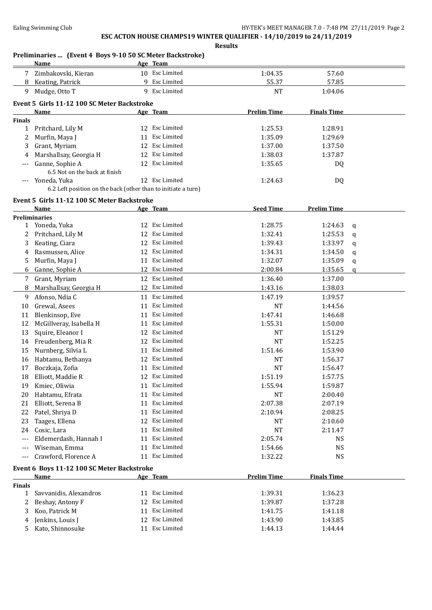|               | Preliminaries  (Event 4 Boys 9-10 50 SC Meter Backstroke)<br><b>Name</b> |    | Age Team       |                    |                    |              |
|---------------|--------------------------------------------------------------------------|----|----------------|--------------------|--------------------|--------------|
|               | 7 Zimbakovski, Kieran                                                    |    | 10 Esc Limited | 1:04.35            | 57.60              |              |
| 8             | Keating, Patrick                                                         |    | 9 Esc Limited  | 55.37              | 57.85              |              |
|               | 9 Mudge, Otto T                                                          |    | 9 Esc Limited  | <b>NT</b>          | 1:04.06            |              |
|               | Event 5 Girls 11-12 100 SC Meter Backstroke                              |    |                |                    |                    |              |
|               | <b>Name</b>                                                              |    | Age Team       | <b>Prelim Time</b> | <b>Finals Time</b> |              |
| <b>Finals</b> |                                                                          |    |                |                    |                    |              |
|               | 1 Pritchard, Lily M                                                      |    | 12 Esc Limited | 1:25.53            | 1:28.91            |              |
| 2             | Murfin, Maya J                                                           |    | 11 Esc Limited | 1:35.09            | 1:29.69            |              |
| 3             | Grant, Myriam                                                            |    | 12 Esc Limited | 1:37.00            | 1:37.50            |              |
| 4             | Marshallsay, Georgia H                                                   |    | 12 Esc Limited | 1:38.03            | 1:37.87            |              |
| ---           | Ganne, Sophie A<br>6.5 Not on the back at finish                         |    | 12 Esc Limited | 1:35.65            | DQ                 |              |
| $---$         | Yoneda, Yuka                                                             |    | 12 Esc Limited | 1:24.63            | DQ                 |              |
|               | 6.2 Left position on the back (other than to initiate a turn)            |    |                |                    |                    |              |
|               | Event 5 Girls 11-12 100 SC Meter Backstroke                              |    |                |                    |                    |              |
|               | Name                                                                     |    | Age Team       | <b>Seed Time</b>   | <b>Prelim Time</b> |              |
|               | <b>Preliminaries</b>                                                     |    |                |                    |                    |              |
|               | 1 Yoneda, Yuka                                                           |    | 12 Esc Limited | 1:28.75            | 1:24.63            | q            |
| 2             | Pritchard, Lily M                                                        |    | 12 Esc Limited | 1:32.41            | 1:25.53            | q            |
| 3             | Keating, Ciara                                                           |    | 12 Esc Limited | 1:39.43            | 1:33.97            | q            |
| 4             | Rasmussen, Alice                                                         |    | 12 Esc Limited | 1:34.31            | 1:34.50            | q            |
| 5             | Murfin, Maya J                                                           |    | 11 Esc Limited | 1:32.07            | 1:35.09            | q            |
| 6             | Ganne, Sophie A                                                          |    | 12 Esc Limited | 2:00.84            | 1:35.65            | $\mathbf{q}$ |
| 7             | Grant, Myriam                                                            |    | 12 Esc Limited | 1:36.40            | 1:37.00            |              |
| 8             | Marshallsay, Georgia H                                                   |    | 12 Esc Limited | 1:43.16            | 1:38.03            |              |
| 9             | Afonso, Ndia C                                                           |    | 11 Esc Limited | 1:47.19            | 1:39.57            |              |
| 10            | Grewal, Asees                                                            |    | 11 Esc Limited | <b>NT</b>          | 1:44.56            |              |
| 11            | Blenkinsop, Eve                                                          |    | 11 Esc Limited | 1:47.41            | 1:46.68            |              |
| 12            | McGillveray, Isabella H                                                  |    | 11 Esc Limited | 1:55.31            | 1:50.00            |              |
| 13            | Squire, Eleanor I                                                        |    | 12 Esc Limited | <b>NT</b>          | 1:51.29            |              |
| 14            | Freudenberg, Mia R                                                       |    | 12 Esc Limited | <b>NT</b>          | 1:52.25            |              |
| 15            | Nurnberg, Silvia L                                                       |    | 11 Esc Limited | 1:51.46            | 1:53.90            |              |
| 16            | Habtamu, Bethanya                                                        |    | 12 Esc Limited | NT                 | 1:56.37            |              |
| 17            | Boczkaja, Zofia                                                          |    | 11 Esc Limited | <b>NT</b>          | 1:56.47            |              |
| 18            | Elliott, Maddie R                                                        |    | 12 Esc Limited | 1:51.19            | 1:57.75            |              |
| 19            | Kmiec, Oliwia                                                            |    | 11 Esc Limited | 1:55.94            | 1:59.87            |              |
| 20            | Habtamu, Efrata                                                          |    | 11 Esc Limited | <b>NT</b>          | 2:00.40            |              |
| 21            | Elliott, Serena B                                                        |    | 11 Esc Limited | 2:07.38            | 2:07.19            |              |
| 22            | Patel, Shriya D                                                          | 11 | Esc Limited    | 2:10.94            | 2:08.25            |              |
| 23            | Taages, Ellena                                                           |    | 12 Esc Limited | NT                 | 2:10.60            |              |
| 24            | Cosic, Lara                                                              | 11 | Esc Limited    | NT                 | 2:11.47            |              |
| $---$         | Eldemerdash, Hannah I                                                    | 11 | Esc Limited    | 2:05.74            | <b>NS</b>          |              |
| $---$         | Wiseman, Emma                                                            | 11 | Esc Limited    | 1:54.66            | <b>NS</b>          |              |
| ---           | Crawford, Florence A                                                     |    | 11 Esc Limited | 1:32.22            | <b>NS</b>          |              |
|               | Event 6 Boys 11-12 100 SC Meter Backstroke                               |    |                |                    |                    |              |
|               | Name                                                                     |    | Age Team       | <b>Prelim Time</b> | <b>Finals Time</b> |              |
| <b>Finals</b> |                                                                          |    |                |                    |                    |              |
| 1             | Savvanidis, Alexandros                                                   |    | 11 Esc Limited | 1:39.31            | 1:36.23            |              |
| 2             | Beshay, Antony F                                                         |    | 12 Esc Limited | 1:39.87            | 1:37.28            |              |
| 3             | Koo, Patrick M                                                           |    | 11 Esc Limited | 1:41.75            | 1:41.18            |              |
| 4             | Jenkins, Louis J                                                         |    | 12 Esc Limited | 1:43.90            | 1:43.85            |              |
|               | Kato, Shinnosuke                                                         |    | 11 Esc Limited | 1:44.13            | 1:44.44            |              |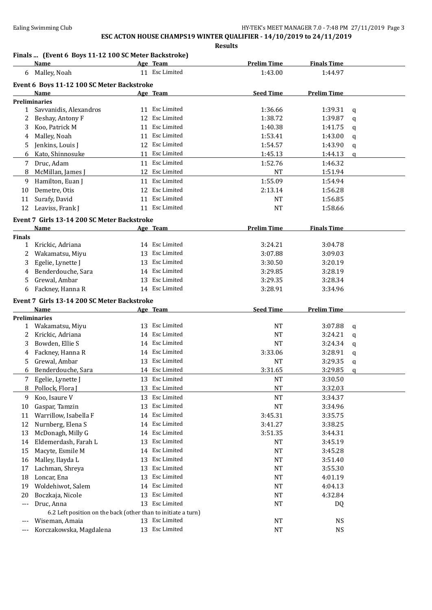**Results**

### **Finals ... (Event 6 Boys 11-12 100 SC Meter Backstroke)**

|                | <b>Name</b>                                                   |    | Age Team       | <b>Prelim Time</b> | <b>Finals Time</b> |              |
|----------------|---------------------------------------------------------------|----|----------------|--------------------|--------------------|--------------|
| 6              | Malley, Noah                                                  |    | 11 Esc Limited | 1:43.00            | 1:44.97            |              |
|                | Event 6 Boys 11-12 100 SC Meter Backstroke                    |    |                |                    |                    |              |
|                | Name                                                          |    | Age Team       | <b>Seed Time</b>   | <b>Prelim Time</b> |              |
|                | <b>Preliminaries</b>                                          |    |                |                    |                    |              |
| $\mathbf{1}$   | Savvanidis, Alexandros                                        |    | 11 Esc Limited | 1:36.66            | 1:39.31            | q            |
| 2              | Beshay, Antony F                                              | 12 | Esc Limited    | 1:38.72            | 1:39.87            | $\mathbf q$  |
| 3              | Koo, Patrick M                                                | 11 | Esc Limited    | 1:40.38            | 1:41.75            | $\mathbf q$  |
| 4              | Malley, Noah                                                  | 11 | Esc Limited    | 1:53.41            | 1:43.00            | q            |
| 5              | Jenkins, Louis J                                              |    | 12 Esc Limited | 1:54.57            | 1:43.90            | $\mathsf{q}$ |
| 6              | Kato, Shinnosuke                                              | 11 | Esc Limited    | 1:45.13            | 1:44.13            | $\mathsf{q}$ |
|                | Druc, Adam                                                    |    | Esc Limited    | 1:52.76            |                    |              |
| 7              |                                                               | 11 | 12 Esc Limited |                    | 1:46.32            |              |
| 8              | McMillan, James J                                             |    |                | <b>NT</b>          | 1:51.94            |              |
| 9              | Hamilton, Euan J                                              |    | 11 Esc Limited | 1:55.09            | 1:54.94            |              |
| 10             | Demetre, Otis                                                 |    | 12 Esc Limited | 2:13.14            | 1:56.28            |              |
| 11             | Surafy, David                                                 |    | 11 Esc Limited | <b>NT</b>          | 1:56.85            |              |
| 12             | Leaviss, Frank J                                              |    | 11 Esc Limited | <b>NT</b>          | 1:58.66            |              |
|                | Event 7 Girls 13-14 200 SC Meter Backstroke                   |    |                |                    |                    |              |
|                | Name                                                          |    | Age Team       | <b>Prelim Time</b> | <b>Finals Time</b> |              |
| <b>Finals</b>  |                                                               |    |                |                    |                    |              |
| $\mathbf{1}$   | Krickic, Adriana                                              |    | 14 Esc Limited | 3:24.21            | 3:04.78            |              |
| 2              | Wakamatsu, Miyu                                               |    | 13 Esc Limited | 3:07.88            | 3:09.03            |              |
| 3              | Egelie, Lynette J                                             |    | 13 Esc Limited | 3:30.50            | 3:20.19            |              |
| 4              | Benderdouche, Sara                                            |    | 14 Esc Limited | 3:29.85            | 3:28.19            |              |
| 5              | Grewal, Ambar                                                 |    | 13 Esc Limited | 3:29.35            | 3:28.34            |              |
| 6              | Fackney, Hanna R                                              |    | 14 Esc Limited | 3:28.91            | 3:34.96            |              |
|                | Event 7 Girls 13-14 200 SC Meter Backstroke                   |    |                |                    |                    |              |
|                | Name                                                          |    | Age Team       | <b>Seed Time</b>   | <b>Prelim Time</b> |              |
|                | <b>Preliminaries</b>                                          |    |                |                    |                    |              |
| 1              | Wakamatsu, Miyu                                               |    | 13 Esc Limited | <b>NT</b>          | 3:07.88            | $\mathbf q$  |
| 2              | Krickic, Adriana                                              |    | 14 Esc Limited | <b>NT</b>          | 3:24.21            | q            |
| 3              | Bowden, Ellie S                                               |    | 14 Esc Limited | <b>NT</b>          | 3:24.34            | q            |
| 4              | Fackney, Hanna R                                              |    | 14 Esc Limited | 3:33.06            | 3:28.91            | q            |
| 5              | Grewal, Ambar                                                 |    | 13 Esc Limited | NT                 | 3:29.35            | q            |
| 6              | Benderdouche, Sara                                            |    | 14 Esc Limited | 3:31.65            | 3:29.85            | q            |
| $\overline{7}$ |                                                               |    | 13 Esc Limited | <b>NT</b>          | 3:30.50            |              |
|                | Egelie, Lynette J<br>Pollock, Flora J                         |    | Esc Limited    |                    |                    |              |
| 8              |                                                               | 13 | Esc Limited    | <b>NT</b>          | 3:32.03            |              |
| 9              | Koo, Isaure V                                                 | 13 |                | NT                 | 3:34.37            |              |
| 10             | Gaspar, Tamzin                                                | 13 | Esc Limited    | <b>NT</b>          | 3:34.96            |              |
| 11             | Warrillow, Isabella F                                         | 14 | Esc Limited    | 3:45.31            | 3:35.75            |              |
| 12             | Nurnberg, Elena S                                             | 14 | Esc Limited    | 3:41.27            | 3:38.25            |              |
| 13             | McDonagh, Milly G                                             | 14 | Esc Limited    | 3:51.35            | 3:44.31            |              |
| 14             | Eldemerdash, Farah L                                          | 13 | Esc Limited    | NT                 | 3:45.19            |              |
| 15             | Macyte, Esmile M                                              | 14 | Esc Limited    | NT                 | 3:45.28            |              |
| 16             | Malley, Ilayda L                                              | 13 | Esc Limited    | NT                 | 3:51.40            |              |
| 17             | Lachman, Shreya                                               | 13 | Esc Limited    | NT                 | 3:55.30            |              |
| 18             | Loncar, Ena                                                   | 13 | Esc Limited    | NT                 | 4:01.19            |              |
| 19             | Woldehiwot, Salem                                             | 14 | Esc Limited    | NT                 | 4:04.13            |              |
| 20             | Boczkaja, Nicole                                              | 13 | Esc Limited    | <b>NT</b>          | 4:32.84            |              |
| ---            | Druc, Anna                                                    |    | 13 Esc Limited | NT                 | DQ                 |              |
|                | 6.2 Left position on the back (other than to initiate a turn) |    |                |                    |                    |              |
| $---$          | Wiseman, Amaia                                                |    | 13 Esc Limited | NT                 | <b>NS</b>          |              |
| $---$          | Korczakowska, Magdalena                                       |    | 13 Esc Limited | <b>NT</b>          | <b>NS</b>          |              |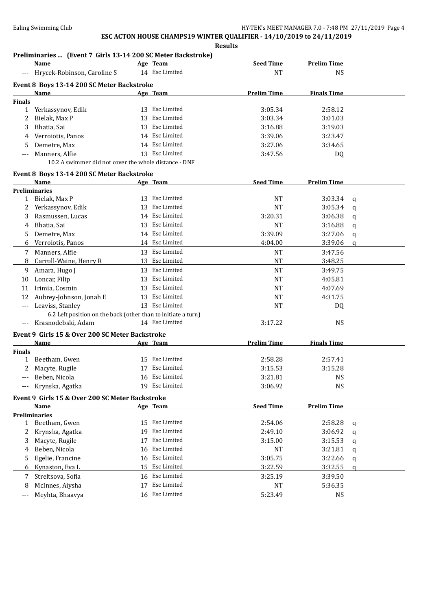#### **Results**

### **Preliminaries ... (Event 7 Girls 13-14 200 SC Meter Backstroke)**

|                     | <u>Name</u>                                                   |    | Age Team           | <b>Seed Time</b>   | <b>Prelim Time</b> |             |
|---------------------|---------------------------------------------------------------|----|--------------------|--------------------|--------------------|-------------|
| $\qquad \qquad - -$ | Hrycek-Robinson, Caroline S                                   |    | 14 Esc Limited     | <b>NT</b>          | <b>NS</b>          |             |
|                     | Event 8 Boys 13-14 200 SC Meter Backstroke                    |    |                    |                    |                    |             |
|                     | Name                                                          |    | Age Team           | <b>Prelim Time</b> | <b>Finals Time</b> |             |
| <b>Finals</b>       |                                                               |    |                    |                    |                    |             |
| $\mathbf{1}$        | Yerkassynov, Edik                                             |    | 13 Esc Limited     | 3:05.34            | 2:58.12            |             |
| 2                   | Bielak, Max P                                                 | 13 | Esc Limited        | 3:03.34            | 3:01.03            |             |
| 3                   | Bhatia, Sai                                                   | 13 | Esc Limited        | 3:16.88            | 3:19.03            |             |
| 4                   | Verroiotis, Panos                                             |    | 14 Esc Limited     | 3:39.06            | 3:23.47            |             |
| 5                   | Demetre, Max                                                  |    | 14 Esc Limited     | 3:27.06            | 3:34.65            |             |
| ---                 | Manners, Alfie                                                |    | 13 Esc Limited     | 3:47.56            | DQ                 |             |
|                     | 10.2 A swimmer did not cover the whole distance - DNF         |    |                    |                    |                    |             |
|                     | Event 8 Boys 13-14 200 SC Meter Backstroke                    |    |                    |                    |                    |             |
|                     | Name                                                          |    | Age Team           | <b>Seed Time</b>   | <b>Prelim Time</b> |             |
|                     | <b>Preliminaries</b>                                          |    |                    |                    |                    |             |
| 1                   | Bielak, Max P                                                 |    | 13 Esc Limited     | <b>NT</b>          | 3:03.34            | $\mathbf q$ |
| 2                   | Yerkassynov, Edik                                             |    | 13 Esc Limited     | NT                 | 3:05.34            | $\mathbf q$ |
| 3                   | Rasmussen, Lucas                                              |    | 14 Esc Limited     | 3:20.31            | 3:06.38            | q           |
| 4                   | Bhatia, Sai                                                   |    | 13 Esc Limited     | <b>NT</b>          | 3:16.88            | $\mathbf q$ |
| 5                   | Demetre, Max                                                  |    | 14 Esc Limited     | 3:39.09            | 3:27.06            | q           |
| 6                   | Verroiotis, Panos                                             |    | 14 Esc Limited     | 4:04.00            | 3:39.06            | q           |
| 7                   | Manners, Alfie                                                |    | 13 Esc Limited     | <b>NT</b>          | 3:47.56            |             |
| 8                   | Carroll-Waine, Henry R                                        |    | 13 Esc Limited     | <b>NT</b>          | 3:48.25            |             |
| 9                   | Amara, Hugo J                                                 |    | 13 Esc Limited     | <b>NT</b>          | 3:49.75            |             |
| 10                  | Loncar, Filip                                                 | 13 | Esc Limited        | <b>NT</b>          | 4:05.81            |             |
| 11                  | Irimia, Cosmin                                                | 13 | Esc Limited        | NT                 | 4:07.69            |             |
| 12                  | Aubrey-Johnson, Jonah E                                       | 13 | Esc Limited        | NT                 | 4:31.75            |             |
| ---                 | Leaviss, Stanley                                              |    | 13 Esc Limited     | <b>NT</b>          | DQ                 |             |
|                     | 6.2 Left position on the back (other than to initiate a turn) |    |                    |                    |                    |             |
| $---$               | Krasnodebski, Adam                                            |    | 14 Esc Limited     | 3:17.22            | <b>NS</b>          |             |
|                     | Event 9 Girls 15 & Over 200 SC Meter Backstroke               |    |                    |                    |                    |             |
|                     | <b>Name</b>                                                   |    | Age Team           | <b>Prelim Time</b> | <b>Finals Time</b> |             |
| <b>Finals</b>       |                                                               |    |                    |                    |                    |             |
| $\mathbf{1}$        | Beetham, Gwen                                                 |    | 15 Esc Limited     | 2:58.28            | 2:57.41            |             |
| 2                   | Macyte, Rugile                                                | 17 | Esc Limited        | 3:15.53            | 3:15.28            |             |
| ---                 | Beben, Nicola                                                 |    | 16 Esc Limited     | 3:21.81            | <b>NS</b>          |             |
|                     | Krynska, Agatka                                               |    | 19 Esc Limited     | 3:06.92            | <b>NS</b>          |             |
|                     | Event 9 Girls 15 & Over 200 SC Meter Backstroke               |    |                    |                    |                    |             |
|                     | Name                                                          |    | Age Team           | <b>Seed Time</b>   | <b>Prelim Time</b> |             |
|                     | <b>Preliminaries</b>                                          |    |                    |                    |                    |             |
| $\mathbf{1}$        | Beetham, Gwen                                                 | 15 | Esc Limited        | 2:54.06            | 2:58.28            | q           |
| 2                   | Krynska, Agatka                                               | 19 | <b>Esc Limited</b> | 2:49.10            | 3:06.92            | q           |
| 3                   | Macyte, Rugile                                                | 17 | Esc Limited        | 3:15.00            | 3:15.53            | q           |
| 4                   | Beben, Nicola                                                 | 16 | Esc Limited        | NT                 | 3:21.81            | q           |
| 5                   | Egelie, Francine                                              | 16 | Esc Limited        | 3:05.75            | 3:22.66            | q           |
| 6                   | Kynaston, Eva L                                               | 15 | Esc Limited        | 3:22.59            | 3:32.55            | q           |
| 7                   | Streltsova, Sofia                                             | 16 | Esc Limited        | 3:25.19            | 3:39.50            |             |
| 8                   | McInnes, Aiysha                                               | 17 | Esc Limited        | NT                 | 5:36.35            |             |
| ---                 | Meyhta, Bhaavya                                               |    | 16 Esc Limited     | 5:23.49            | <b>NS</b>          |             |
|                     |                                                               |    |                    |                    |                    |             |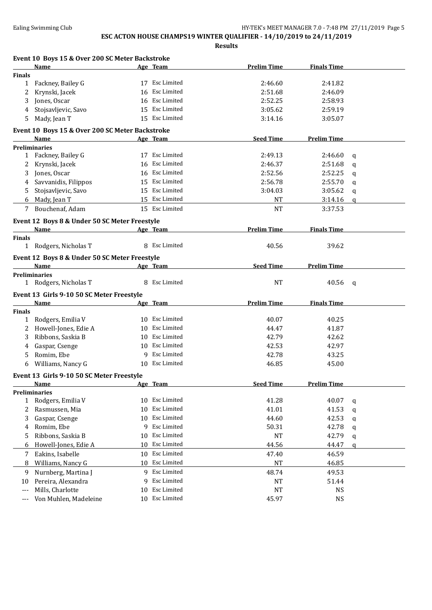|               | Event 10 Boys 15 & Over 200 SC Meter Backstroke |    |                    |                    |                    |          |
|---------------|-------------------------------------------------|----|--------------------|--------------------|--------------------|----------|
|               | Name                                            |    | Age Team           | <b>Prelim Time</b> | <b>Finals Time</b> |          |
| <b>Finals</b> |                                                 |    |                    |                    |                    |          |
|               | 1 Fackney, Bailey G                             |    | 17 Esc Limited     | 2:46.60            | 2:41.82            |          |
| 2             | Krynski, Jacek                                  |    | 16 Esc Limited     | 2:51.68            | 2:46.09            |          |
| 3             | Jones, Oscar                                    |    | 16 Esc Limited     | 2:52.25            | 2:58.93            |          |
| 4             | Stojsavljevic, Savo                             |    | 15 Esc Limited     | 3:05.62            | 2:59.19            |          |
| 5             | Mady, Jean T                                    |    | 15 Esc Limited     | 3:14.16            | 3:05.07            |          |
|               | Event 10 Boys 15 & Over 200 SC Meter Backstroke |    |                    |                    |                    |          |
|               | Name                                            |    | Age Team           | <b>Seed Time</b>   | <b>Prelim Time</b> |          |
|               | <b>Preliminaries</b>                            |    |                    |                    |                    |          |
|               | 1 Fackney, Bailey G                             |    | 17 Esc Limited     | 2:49.13            | 2:46.60            | q        |
| 2             | Krynski, Jacek                                  |    | 16 Esc Limited     | 2:46.37            | 2:51.68            | q        |
| 3             | Jones, Oscar                                    |    | 16 Esc Limited     | 2:52.56            | 2:52.25            | q        |
| 4             | Savvanidis, Filippos                            |    | 15 Esc Limited     | 2:56.78            | 2:55.70            | a        |
| 5             | Stojsavljevic, Savo                             |    | 15 Esc Limited     | 3:04.03            | 3:05.62            | q        |
| 6             | Mady, Jean T                                    |    | 15 Esc Limited     | <b>NT</b>          | 3:14.16            | $\Omega$ |
| 7             | Bouchenaf, Adam                                 |    | 15 Esc Limited     | <b>NT</b>          | 3:37.53            |          |
|               | Event 12 Boys 8 & Under 50 SC Meter Freestyle   |    |                    |                    |                    |          |
|               | Name                                            |    | Age Team           | <b>Prelim Time</b> | <b>Finals Time</b> |          |
| <b>Finals</b> |                                                 |    |                    |                    |                    |          |
|               | 1 Rodgers, Nicholas T                           |    | 8 Esc Limited      | 40.56              | 39.62              |          |
|               | Event 12 Boys 8 & Under 50 SC Meter Freestyle   |    |                    |                    |                    |          |
|               | Name                                            |    | Age Team           | <b>Seed Time</b>   | <b>Prelim Time</b> |          |
|               | <b>Preliminaries</b>                            |    |                    |                    |                    |          |
|               | 1 Rodgers, Nicholas T                           |    | 8 Esc Limited      | <b>NT</b>          | 40.56              | q        |
|               | Event 13 Girls 9-10 50 SC Meter Freestyle       |    |                    |                    |                    |          |
|               | <b>Name</b>                                     |    | Age Team           | <b>Prelim Time</b> | <b>Finals Time</b> |          |
| <b>Finals</b> |                                                 |    |                    |                    |                    |          |
| $\mathbf{1}$  | Rodgers, Emilia V                               |    | 10 Esc Limited     | 40.07              | 40.25              |          |
| 2             | Howell-Jones, Edie A                            |    | 10 Esc Limited     | 44.47              | 41.87              |          |
| 3             | Ribbons, Saskia B                               |    | 10 Esc Limited     | 42.79              | 42.62              |          |
| 4             | Gaspar, Csenge                                  |    | 10 Esc Limited     | 42.53              | 42.97              |          |
| 5             | Romim, Ebe                                      |    | 9 Esc Limited      | 42.78              | 43.25              |          |
| 6             | Williams, Nancy G                               |    | 10 Esc Limited     | 46.85              | 45.00              |          |
|               |                                                 |    |                    |                    |                    |          |
|               | Event 13 Girls 9-10 50 SC Meter Freestyle       |    |                    |                    |                    |          |
|               | Name<br><b>Preliminaries</b>                    |    | Age Team           | <b>Seed Time</b>   | <b>Prelim Time</b> |          |
| 1             | Rodgers, Emilia V                               |    | 10 Esc Limited     | 41.28              | 40.07              | q        |
| 2             | Rasmussen, Mia                                  | 10 | Esc Limited        | 41.01              | 41.53              |          |
| 3             | Gaspar, Csenge                                  | 10 | <b>Esc Limited</b> | 44.60              | 42.53              | q        |
| 4             | Romim, Ebe                                      |    | 9 Esc Limited      | 50.31              | 42.78              | q        |
|               | Ribbons, Saskia B                               | 10 | Esc Limited        | NT                 | 42.79              | q        |
| 5             |                                                 | 10 | Esc Limited        |                    |                    | q        |
| 6             | Howell-Jones, Edie A                            |    |                    | 44.56              | 44.47              | q        |
| 7             | Eakins, Isabelle                                | 10 | Esc Limited        | 47.40              | 46.59              |          |
| 8             | Williams, Nancy G                               |    | 10 Esc Limited     | NT                 | 46.85              |          |
| 9             | Nurnberg, Martina J                             |    | 9 Esc Limited      | 48.74              | 49.53              |          |
| 10            | Pereira, Alexandra                              | 9. | Esc Limited        | NT                 | 51.44              |          |
| $---$         | Mills, Charlotte                                | 10 | Esc Limited        | NT                 | <b>NS</b>          |          |
| ---           | Von Muhlen, Madeleine                           |    | 10 Esc Limited     | 45.97              | <b>NS</b>          |          |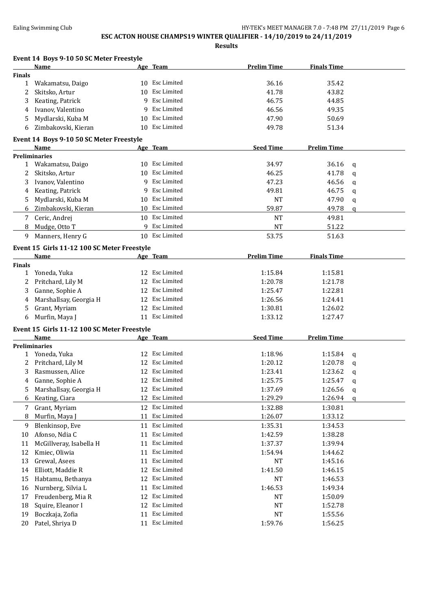## **ESC ACTON HOUSE CHAMPS19 WINTER QUALIFIER - 14/10/2019 to 24/11/2019**

|                           | Event 14 Boys 9-10 50 SC Meter Freestyle    |    |                    |                    |                    |              |
|---------------------------|---------------------------------------------|----|--------------------|--------------------|--------------------|--------------|
|                           | Name                                        |    | Age Team           | <b>Prelim Time</b> | <b>Finals Time</b> |              |
| <b>Finals</b>             |                                             |    |                    |                    |                    |              |
| $\mathbf{1}$              | Wakamatsu, Daigo                            |    | 10 Esc Limited     | 36.16              | 35.42              |              |
| 2                         | Skitsko, Artur                              | 10 | <b>Esc Limited</b> | 41.78              | 43.82              |              |
| 3                         | Keating, Patrick                            | 9  | Esc Limited        | 46.75              | 44.85              |              |
| 4                         | Ivanov, Valentino                           | 9  | Esc Limited        | 46.56              | 49.35              |              |
| 5                         | Mydlarski, Kuba M                           | 10 | Esc Limited        | 47.90              | 50.69              |              |
| 6                         | Zimbakovski, Kieran                         | 10 | Esc Limited        | 49.78              | 51.34              |              |
|                           | Event 14 Boys 9-10 50 SC Meter Freestyle    |    |                    |                    |                    |              |
|                           | Name                                        |    | Age Team           | <b>Seed Time</b>   | <b>Prelim Time</b> |              |
|                           | <b>Preliminaries</b>                        |    |                    |                    |                    |              |
|                           | 1 Wakamatsu, Daigo                          |    | 10 Esc Limited     | 34.97              | 36.16              | q            |
| 2                         | Skitsko, Artur                              |    | 10 Esc Limited     | 46.25              | 41.78              | a            |
| 3                         | Ivanov, Valentino                           |    | 9 Esc Limited      | 47.23              | 46.56              | q            |
| 4                         | Keating, Patrick                            | 9  | Esc Limited        | 49.81              | 46.75              | q            |
| 5                         | Mydlarski, Kuba M                           |    | 10 Esc Limited     | <b>NT</b>          | 47.90              | q            |
| 6                         | Zimbakovski, Kieran                         |    | 10 Esc Limited     | 59.87              | 49.78              | $\mathbf{q}$ |
|                           |                                             |    | 10 Esc Limited     | <b>NT</b>          |                    |              |
| 7                         | Ceric, Andrej                               |    | 9 Esc Limited      |                    | 49.81              |              |
| 8                         | Mudge, Otto T                               |    |                    | <b>NT</b>          | 51.22              |              |
| 9                         | Manners, Henry G                            |    | 10 Esc Limited     | 53.75              | 51.63              |              |
|                           | Event 15 Girls 11-12 100 SC Meter Freestyle |    |                    |                    |                    |              |
|                           | Name                                        |    | Age Team           | <b>Prelim Time</b> | <b>Finals Time</b> |              |
| <b>Finals</b>             |                                             |    |                    |                    |                    |              |
| $\mathbf{1}$              | Yoneda, Yuka                                |    | 12 Esc Limited     | 1:15.84            | 1:15.81            |              |
| 2                         | Pritchard, Lily M                           | 12 | Esc Limited        | 1:20.78            | 1:21.78            |              |
| 3                         | Ganne, Sophie A                             | 12 | Esc Limited        | 1:25.47            | 1:22.81            |              |
| 4                         | Marshallsay, Georgia H                      | 12 | Esc Limited        | 1:26.56            | 1:24.41            |              |
| 5                         | Grant, Myriam                               |    | 12 Esc Limited     | 1:30.81            | 1:26.02            |              |
| 6                         | Murfin, Maya J                              |    | 11 Esc Limited     | 1:33.12            | 1:27.47            |              |
|                           | Event 15 Girls 11-12 100 SC Meter Freestyle |    |                    |                    |                    |              |
|                           | Name                                        |    | <u>Age Team</u>    | <b>Seed Time</b>   | <b>Prelim Time</b> |              |
|                           | <b>Preliminaries</b>                        |    |                    |                    |                    |              |
|                           | 1 Yoneda, Yuka                              |    | 12 Esc Limited     | 1:18.96            | 1:15.84            | q            |
| $\mathbf{2}^{\mathbf{1}}$ | Pritchard, Lily M                           |    | 12 Esc Limited     | 1:20.12            | 1:20.78            | a            |
| 3                         | Rasmussen, Alice                            |    | 12 Esc Limited     | 1:23.41            | 1:23.62            | q            |
| 4                         | Ganne, Sophie A                             |    | 12 Esc Limited     | 1:25.75            | 1:25.47            | q            |
| 5                         | Marshallsay, Georgia H                      |    | 12 Esc Limited     | 1:37.69            | 1:26.56            | q            |
| 6                         | Keating, Ciara                              | 12 | Esc Limited        | 1:29.29            | 1:26.94            | a            |
| 7                         | Grant, Myriam                               | 12 | Esc Limited        | 1:32.88            | 1:30.81            |              |
| 8                         | Murfin, Maya J                              | 11 | Esc Limited        | 1:26.07            | 1:33.12            |              |
| 9                         | Blenkinsop, Eve                             |    | 11 Esc Limited     | 1:35.31            | 1:34.53            |              |
| 10                        | Afonso, Ndia C                              |    | 11 Esc Limited     | 1:42.59            | 1:38.28            |              |
| 11                        | McGillveray, Isabella H                     | 11 | Esc Limited        | 1:37.37            | 1:39.94            |              |
| 12                        | Kmiec, Oliwia                               | 11 | Esc Limited        | 1:54.94            | 1:44.62            |              |
| 13                        | Grewal, Asees                               | 11 | Esc Limited        | NT                 | 1:45.16            |              |
|                           | Elliott, Maddie R                           | 12 | Esc Limited        |                    |                    |              |
| 14                        |                                             |    | Esc Limited        | 1:41.50            | 1:46.15            |              |
| 15                        | Habtamu, Bethanya                           | 12 |                    | NT                 | 1:46.53            |              |
| 16                        | Nurnberg, Silvia L                          | 11 | Esc Limited        | 1:46.53            | 1:49.34            |              |
| 17                        | Freudenberg, Mia R                          | 12 | Esc Limited        | NT                 | 1:50.09            |              |
| 18                        | Squire, Eleanor I                           | 12 | Esc Limited        | NT                 | 1:52.78            |              |
| 19                        | Boczkaja, Zofia                             | 11 | Esc Limited        | $\rm{NT}$          | 1:55.56            |              |
| 20                        | Patel, Shriya D                             |    | 11 Esc Limited     | 1:59.76            | 1:56.25            |              |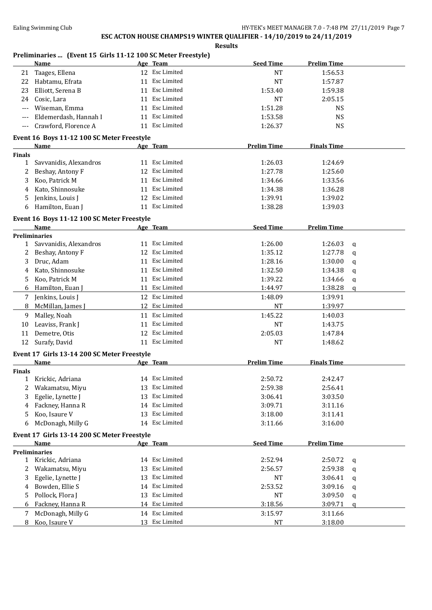**Results**

### **Preliminaries ... (Event 15 Girls 11-12 100 SC Meter Freestyle)**

|                | <b>Name</b>                                                |    | Age Team       | <b>Seed Time</b>   | <b>Prelim Time</b> |             |
|----------------|------------------------------------------------------------|----|----------------|--------------------|--------------------|-------------|
| 21             | Taages, Ellena                                             |    | 12 Esc Limited | <b>NT</b>          | 1:56.53            |             |
| 22             | Habtamu, Efrata                                            |    | 11 Esc Limited | <b>NT</b>          | 1:57.87            |             |
| 23             | Elliott, Serena B                                          |    | 11 Esc Limited | 1:53.40            | 1:59.38            |             |
| 24             | Cosic, Lara                                                |    | 11 Esc Limited | <b>NT</b>          | 2:05.15            |             |
|                | Wiseman, Emma                                              |    | 11 Esc Limited | 1:51.28            | <b>NS</b>          |             |
| $---$          | Eldemerdash, Hannah I                                      |    | 11 Esc Limited | 1:53.58            | <b>NS</b>          |             |
| $\overline{a}$ | Crawford, Florence A                                       |    | 11 Esc Limited | 1:26.37            | <b>NS</b>          |             |
|                |                                                            |    |                |                    |                    |             |
|                | Event 16 Boys 11-12 100 SC Meter Freestyle                 |    |                |                    |                    |             |
|                | Name                                                       |    | Age Team       | <b>Prelim Time</b> | <b>Finals Time</b> |             |
| Finals         |                                                            |    |                |                    |                    |             |
| 1              | Savvanidis, Alexandros                                     |    | 11 Esc Limited | 1:26.03            | 1:24.69            |             |
| 2              | Beshay, Antony F                                           |    | 12 Esc Limited | 1:27.78            | 1:25.60            |             |
| 3              | Koo, Patrick M                                             |    | 11 Esc Limited | 1:34.66            | 1:33.56            |             |
| 4              | Kato, Shinnosuke                                           |    | 11 Esc Limited | 1:34.38            | 1:36.28            |             |
| 5              | Jenkins, Louis J                                           |    | 12 Esc Limited | 1:39.91            | 1:39.02            |             |
| 6              | Hamilton, Euan J                                           |    | 11 Esc Limited | 1:38.28            | 1:39.03            |             |
|                | Event 16 Boys 11-12 100 SC Meter Freestyle                 |    |                |                    |                    |             |
|                | Name                                                       |    | Age Team       | <b>Seed Time</b>   | <b>Prelim Time</b> |             |
|                | <b>Preliminaries</b>                                       |    |                |                    |                    |             |
|                | 1 Savvanidis, Alexandros                                   |    | 11 Esc Limited | 1:26.00            | 1:26.03            | q           |
| 2              | Beshay, Antony F                                           |    | 12 Esc Limited | 1:35.12            | 1:27.78            | q           |
| 3              | Druc, Adam                                                 | 11 | Esc Limited    | 1:28.16            | 1:30.00            | q           |
| 4              | Kato, Shinnosuke                                           |    | 11 Esc Limited | 1:32.50            | 1:34.38            | q           |
| 5.             | Koo, Patrick M                                             |    | 11 Esc Limited | 1:39.22            | 1:34.66            | q           |
| 6              | Hamilton, Euan J                                           |    | 11 Esc Limited | 1:44.97            | 1:38.28            | $\mathbf q$ |
|                |                                                            |    | 12 Esc Limited |                    |                    |             |
| 7              | Jenkins, Louis J                                           |    |                | 1:48.09            | 1:39.91            |             |
| 8              | McMillan, James J                                          |    | 12 Esc Limited | <b>NT</b>          | 1:39.97            |             |
| 9              | Malley, Noah                                               |    | 11 Esc Limited | 1:45.22            | 1:40.03            |             |
| 10             | Leaviss, Frank J                                           | 11 | Esc Limited    | NT                 | 1:43.75            |             |
| 11             | Demetre, Otis                                              |    | 12 Esc Limited | 2:05.03            | 1:47.84            |             |
| 12             | Surafy, David                                              |    | 11 Esc Limited | <b>NT</b>          | 1:48.62            |             |
|                | Event 17 Girls 13-14 200 SC Meter Freestyle                |    |                |                    |                    |             |
|                | Name                                                       |    | Age Team       | <b>Prelim Time</b> | <b>Finals Time</b> |             |
| <b>Finals</b>  |                                                            |    |                |                    |                    |             |
|                | 1 Krickic, Adriana                                         |    | 14 Esc Limited | 2:50.72            | 2:42.47            |             |
| 2              | Wakamatsu, Miyu                                            |    | 13 Esc Limited | 2:59.38            | 2:56.41            |             |
| 3              | Egelie, Lynette J                                          | 13 | Esc Limited    | 3:06.41            | 3:03.50            |             |
| 4              | Fackney, Hanna R                                           | 14 | Esc Limited    | 3:09.71            | 3:11.16            |             |
| 5              | Koo, Isaure V                                              | 13 | Esc Limited    | 3:18.00            | 3:11.41            |             |
| 6              | McDonagh, Milly G                                          |    | 14 Esc Limited | 3:11.66            | 3:16.00            |             |
|                |                                                            |    |                |                    |                    |             |
|                | Event 17 Girls 13-14 200 SC Meter Freestyle<br><b>Name</b> |    |                | <b>Seed Time</b>   | <b>Prelim Time</b> |             |
|                | <b>Preliminaries</b>                                       |    | Age Team       |                    |                    |             |
|                | Krickic, Adriana                                           |    | 14 Esc Limited | 2:52.94            | 2:50.72            |             |
| $\mathbf{1}$   | Wakamatsu, Miyu                                            |    | Esc Limited    |                    |                    | q           |
| 2              |                                                            | 13 |                | 2:56.57            | 2:59.38            | q           |
| 3              | Egelie, Lynette J                                          | 13 | Esc Limited    | NT                 | 3:06.41            | q           |
| 4              | Bowden, Ellie S                                            | 14 | Esc Limited    | 2:53.52            | 3:09.16            | q           |
| 5              | Pollock, Flora J                                           | 13 | Esc Limited    | NT                 | 3:09.50            | q           |
| 6              | Fackney, Hanna R                                           |    | 14 Esc Limited | 3:18.56            | 3:09.71            | a           |
| 7              | McDonagh, Milly G                                          |    | 14 Esc Limited | 3:15.97            | 3:11.66            |             |
| 8              | Koo, Isaure V                                              |    | 13 Esc Limited | NT                 | 3:18.00            |             |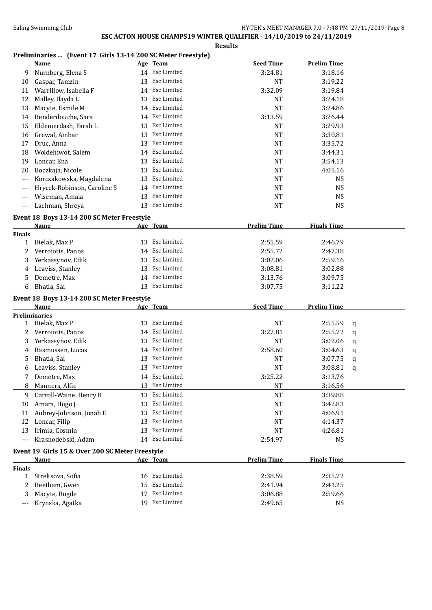**Results**

#### **Preliminaries ... (Event 17 Girls 13-14 200 SC Meter Freestyle)**

|                    | <b>Name</b>                                     |    | Age Team       | <b>Seed Time</b>   | <b>Prelim Time</b> |   |
|--------------------|-------------------------------------------------|----|----------------|--------------------|--------------------|---|
| 9                  | Nurnberg, Elena S                               |    | 14 Esc Limited | 3:24.81            | 3:18.16            |   |
| 10                 | Gaspar, Tamzin                                  |    | 13 Esc Limited | <b>NT</b>          | 3:19.22            |   |
| 11                 | Warrillow, Isabella F                           |    | 14 Esc Limited | 3:32.09            | 3:19.84            |   |
| 12                 | Malley, Ilayda L                                | 13 | Esc Limited    | <b>NT</b>          | 3:24.18            |   |
| 13                 | Macyte, Esmile M                                |    | 14 Esc Limited | <b>NT</b>          | 3:24.86            |   |
| 14                 | Benderdouche, Sara                              |    | 14 Esc Limited | 3:13.59            | 3:26.44            |   |
| 15                 | Eldemerdash, Farah L                            | 13 | Esc Limited    | <b>NT</b>          | 3:29.93            |   |
| 16                 | Grewal, Ambar                                   | 13 | Esc Limited    | <b>NT</b>          | 3:30.81            |   |
| 17                 | Druc, Anna                                      |    | 13 Esc Limited | NT                 | 3:35.72            |   |
| 18                 | Woldehiwot, Salem                               |    | 14 Esc Limited | NT                 | 3:44.31            |   |
| 19                 | Loncar, Ena                                     |    | 13 Esc Limited | <b>NT</b>          | 3:54.13            |   |
| 20                 | Boczkaja, Nicole                                |    | 13 Esc Limited | <b>NT</b>          | 4:05.16            |   |
| $---$              | Korczakowska, Magdalena                         |    | 13 Esc Limited | <b>NT</b>          | <b>NS</b>          |   |
| ---                | Hrycek-Robinson, Caroline S                     |    | 14 Esc Limited | <b>NT</b>          | <b>NS</b>          |   |
| $---$              | Wiseman, Amaia                                  |    | 13 Esc Limited | <b>NT</b>          | <b>NS</b>          |   |
| $---$              | Lachman, Shreya                                 |    | 13 Esc Limited | <b>NT</b>          | <b>NS</b>          |   |
|                    | Event 18 Boys 13-14 200 SC Meter Freestyle      |    |                |                    |                    |   |
|                    | Name                                            |    | Age Team       | <b>Prelim Time</b> | <b>Finals Time</b> |   |
| <b>Finals</b>      |                                                 |    |                |                    |                    |   |
| 1                  | Bielak, Max P                                   |    | 13 Esc Limited | 2:55.59            | 2:46.79            |   |
| 2                  | Verroiotis, Panos                               |    | 14 Esc Limited | 2:55.72            | 2:47.38            |   |
| 3                  | Yerkassynov, Edik                               |    | 13 Esc Limited | 3:02.06            | 2:59.16            |   |
| 4                  | Leaviss, Stanley                                |    | 13 Esc Limited | 3:08.81            | 3:02.88            |   |
| 5                  | Demetre, Max                                    |    | 14 Esc Limited | 3:13.76            | 3:09.75            |   |
| 6                  | Bhatia, Sai                                     |    | 13 Esc Limited | 3:07.75            | 3:11.22            |   |
|                    | Event 18 Boys 13-14 200 SC Meter Freestyle      |    |                |                    |                    |   |
|                    | Name                                            |    | Age Team       | <b>Seed Time</b>   | <b>Prelim Time</b> |   |
|                    | <b>Preliminaries</b>                            |    |                |                    |                    |   |
| 1                  | Bielak, Max P                                   |    | 13 Esc Limited | <b>NT</b>          | 2:55.59            | q |
| 2                  | Verroiotis, Panos                               |    | 14 Esc Limited | 3:27.81            | 2:55.72            | q |
| 3                  | Yerkassynov, Edik                               | 13 | Esc Limited    | <b>NT</b>          | 3:02.06            | q |
| 4                  | Rasmussen, Lucas                                |    | 14 Esc Limited | 2:58.60            | 3:04.63            | q |
| 5                  | Bhatia, Sai                                     |    | 13 Esc Limited | <b>NT</b>          | 3:07.75            | q |
| 6                  | Leaviss, Stanley                                |    | 13 Esc Limited | <b>NT</b>          | 3:08.81            | a |
|                    | 7 Demetre, Max                                  |    | 14 Esc Limited | 3:25.22            | 3:13.76            |   |
| 8                  | Manners, Alfie                                  |    | 13 Esc Limited | NT                 | 3:16.56            |   |
| 9                  | Carroll-Waine, Henry R                          |    | 13 Esc Limited | <b>NT</b>          | 3:39.88            |   |
| 10                 | Amara, Hugo J                                   | 13 | Esc Limited    | <b>NT</b>          | 3:42.83            |   |
| 11                 | Aubrey-Johnson, Jonah E                         | 13 | Esc Limited    | <b>NT</b>          | 4:06.91            |   |
| 12                 | Loncar, Filip                                   | 13 | Esc Limited    | NT                 | 4:14.37            |   |
| 13                 | Irimia, Cosmin                                  | 13 | Esc Limited    | <b>NT</b>          | 4:26.81            |   |
| $---$              | Krasnodebski, Adam                              |    | 14 Esc Limited | 2:54.97            | <b>NS</b>          |   |
|                    |                                                 |    |                |                    |                    |   |
|                    | Event 19 Girls 15 & Over 200 SC Meter Freestyle |    |                |                    |                    |   |
|                    | <b>Name</b>                                     |    | Age Team       | <b>Prelim Time</b> | <b>Finals Time</b> |   |
| <b>Finals</b><br>1 | Streltsova, Sofia                               |    | 16 Esc Limited | 2:38.59            | 2:35.72            |   |
| 2                  | Beetham, Gwen                                   |    | 15 Esc Limited | 2:41.94            | 2:41.25            |   |
| 3                  | Macyte, Rugile                                  |    | 17 Esc Limited | 3:06.88            | 2:59.66            |   |
| $---$              | Krynska, Agatka                                 |    | 19 Esc Limited | 2:49.65            | <b>NS</b>          |   |
|                    |                                                 |    |                |                    |                    |   |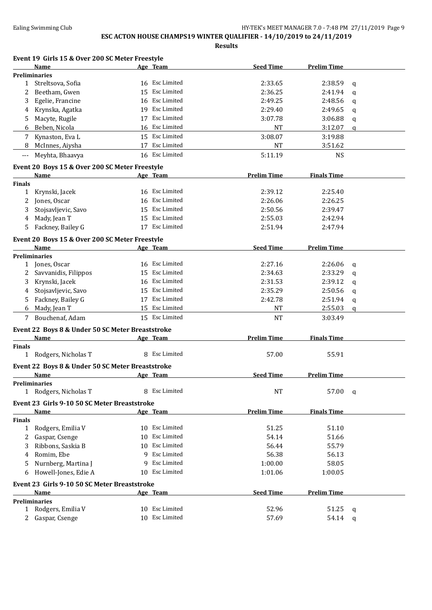## **ESC ACTON HOUSE CHAMPS19 WINTER QUALIFIER - 14/10/2019 to 24/11/2019**

| Event 19 Girls 15 & Over 200 SC Meter Freestyle<br>Name | <u>Age Team</u>   | <b>Seed Time</b>   | Prelim Time        |              |
|---------------------------------------------------------|-------------------|--------------------|--------------------|--------------|
| <b>Preliminaries</b>                                    |                   |                    |                    |              |
| Streltsova, Sofia<br>1                                  | 16 Esc Limited    | 2:33.65            | 2:38.59            | q            |
| Beetham, Gwen<br>2                                      | Esc Limited<br>15 | 2:36.25            | 2:41.94            | q            |
| Egelie, Francine<br>3                                   | Esc Limited<br>16 | 2:49.25            | 2:48.56            | q            |
| Krynska, Agatka<br>4                                    | Esc Limited<br>19 | 2:29.40            | 2:49.65            | q            |
| Macyte, Rugile<br>5                                     | Esc Limited<br>17 | 3:07.78            | 3:06.88            | $\mathsf{q}$ |
| Beben, Nicola<br>6                                      | 16 Esc Limited    | NT                 | 3:12.07            | q            |
| Kynaston, Eva L<br>7                                    | 15 Esc Limited    | 3:08.07            | 3:19.88            |              |
| McInnes, Aiysha<br>8                                    | 17 Esc Limited    | NT                 | 3:51.62            |              |
| Meyhta, Bhaavya<br>$---$                                | 16 Esc Limited    | 5:11.19            | <b>NS</b>          |              |
|                                                         |                   |                    |                    |              |
| Event 20 Boys 15 & Over 200 SC Meter Freestyle<br>Name  | Age Team          | <b>Prelim Time</b> | <b>Finals Time</b> |              |
| <b>Finals</b>                                           |                   |                    |                    |              |
| Krynski, Jacek<br>1                                     | Esc Limited<br>16 | 2:39.12            | 2:25.40            |              |
| Jones, Oscar<br>2                                       | Esc Limited<br>16 | 2:26.06            | 2:26.25            |              |
| 3<br>Stojsavljevic, Savo                                | Esc Limited<br>15 | 2:50.56            | 2:39.47            |              |
| Mady, Jean T<br>4                                       | Esc Limited<br>15 | 2:55.03            | 2:42.94            |              |
| Fackney, Bailey G<br>5                                  | 17 Esc Limited    | 2:51.94            | 2:47.94            |              |
|                                                         |                   |                    |                    |              |
| Event 20 Boys 15 & Over 200 SC Meter Freestyle<br>Name  | Age Team          | <b>Seed Time</b>   | <b>Prelim Time</b> |              |
| <b>Preliminaries</b>                                    |                   |                    |                    |              |
| 1 Jones, Oscar                                          | Esc Limited<br>16 | 2:27.16            | 2:26.06            | $\mathbf{q}$ |
| Savvanidis, Filippos<br>2                               | Esc Limited<br>15 | 2:34.63            | 2:33.29            | $\mathbf q$  |
| Krynski, Jacek<br>3                                     | Esc Limited<br>16 | 2:31.53            | 2:39.12            | $\mathsf{q}$ |
| Stojsavljevic, Savo<br>4                                | Esc Limited<br>15 | 2:35.29            | 2:50.56            | $\mathbf{q}$ |
| Fackney, Bailey G<br>5                                  | Esc Limited<br>17 | 2:42.78            | 2:51.94            |              |
| Mady, Jean T<br>6                                       | 15 Esc Limited    | NT                 | 2:55.03            | q<br>a       |
| Bouchenaf, Adam<br>7                                    | 15 Esc Limited    | <b>NT</b>          | 3:03.49            |              |
|                                                         |                   |                    |                    |              |
| Event 22 Boys 8 & Under 50 SC Meter Breaststroke        |                   |                    |                    |              |
| <b>Name</b>                                             | Age Team          | <b>Prelim Time</b> | <b>Finals Time</b> |              |
| <b>Finals</b><br>1 Rodgers, Nicholas T                  | 8 Esc Limited     | 57.00              | 55.91              |              |
|                                                         |                   |                    |                    |              |
| Event 22 Boys 8 & Under 50 SC Meter Breaststroke        |                   |                    |                    |              |
| <u>Name</u>                                             | Age Team          | <b>Seed Time</b>   | <b>Prelim Time</b> |              |
| <b>Preliminaries</b>                                    |                   |                    |                    |              |
| 1 Rodgers, Nicholas T                                   | 8 Esc Limited     | NT                 | 57.00              | q            |
| Event 23 Girls 9-10 50 SC Meter Breaststroke            |                   |                    |                    |              |
| <b>Name</b>                                             | Age Team          | <b>Prelim Time</b> | <b>Finals Time</b> |              |
| <b>Finals</b>                                           |                   |                    |                    |              |
| Rodgers, Emilia V<br>$\mathbf{1}$                       | 10 Esc Limited    | 51.25              | 51.10              |              |
| Gaspar, Csenge<br>2                                     | Esc Limited<br>10 | 54.14              | 51.66              |              |
| Ribbons, Saskia B<br>3                                  | Esc Limited<br>10 | 56.44              | 55.79              |              |
| Romim, Ebe<br>4                                         | Esc Limited<br>9  | 56.38              | 56.13              |              |
| Nurnberg, Martina J<br>5                                | Esc Limited<br>9  | 1:00.00            | 58.05              |              |
| Howell-Jones, Edie A<br>6                               | Esc Limited<br>10 | 1:01.06            | 1:00.05            |              |
| Event 23 Girls 9-10 50 SC Meter Breaststroke            |                   |                    |                    |              |
| Name                                                    | Age Team          | <b>Seed Time</b>   | <b>Prelim Time</b> |              |
| <b>Preliminaries</b>                                    |                   |                    |                    |              |
| Rodgers, Emilia V<br>1                                  | 10 Esc Limited    | 52.96              | 51.25              | q            |
| Gaspar, Csenge                                          | 10 Esc Limited    | 57.69              | 54.14              | q            |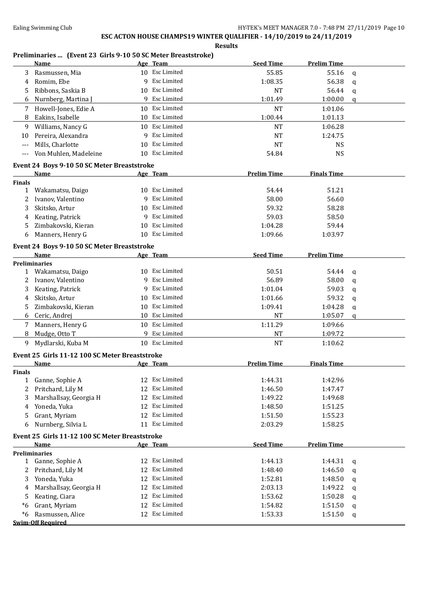**Results**

#### **Preliminaries ... (Event 23 Girls 9-10 50 SC Meter Breaststroke)**

|                                                                                                             | <b>Name</b>                                    |    | Age Team       | <b>Seed Time</b>   | <b>Prelim Time</b> |   |
|-------------------------------------------------------------------------------------------------------------|------------------------------------------------|----|----------------|--------------------|--------------------|---|
| 3                                                                                                           | Rasmussen, Mia                                 |    | 10 Esc Limited | 55.85              | 55.16              | q |
| 4                                                                                                           | Romim, Ebe                                     | q  | Esc Limited    | 1:08.35            | 56.38              | q |
| 5                                                                                                           | Ribbons, Saskia B                              | 10 | Esc Limited    | <b>NT</b>          | 56.44              | q |
| 6                                                                                                           | Nurnberg, Martina J                            | 9  | Esc Limited    | 1:01.49            | 1:00.00            | a |
| 7                                                                                                           | Howell-Jones, Edie A                           |    | 10 Esc Limited | <b>NT</b>          | 1:01.06            |   |
| 8                                                                                                           | Eakins, Isabelle                               |    | 10 Esc Limited | 1:00.44            | 1:01.13            |   |
| 9                                                                                                           | Williams, Nancy G                              |    | 10 Esc Limited | <b>NT</b>          | 1:06.28            |   |
| 10                                                                                                          | Pereira, Alexandra                             |    | 9 Esc Limited  | <b>NT</b>          | 1:24.75            |   |
| $---$                                                                                                       | Mills, Charlotte                               | 10 | Esc Limited    | <b>NT</b>          | <b>NS</b>          |   |
| $\scriptstyle{\cdots}$ .                                                                                    | Von Muhlen, Madeleine                          |    | 10 Esc Limited | 54.84              | <b>NS</b>          |   |
|                                                                                                             |                                                |    |                |                    |                    |   |
| Event 24 Boys 9-10 50 SC Meter Breaststroke<br><b>Prelim Time</b><br><b>Finals Time</b><br>Age Team<br>Name |                                                |    |                |                    |                    |   |
| <b>Finals</b>                                                                                               |                                                |    |                |                    |                    |   |
| 1                                                                                                           | Wakamatsu, Daigo                               | 10 | Esc Limited    | 54.44              | 51.21              |   |
| 2                                                                                                           | Ivanov, Valentino                              | 9  | Esc Limited    | 58.00              | 56.60              |   |
| 3                                                                                                           | Skitsko, Artur                                 | 10 | Esc Limited    | 59.32              | 58.28              |   |
| 4                                                                                                           | Keating, Patrick                               | 9  | Esc Limited    | 59.03              | 58.50              |   |
| 5                                                                                                           | Zimbakovski, Kieran                            | 10 | Esc Limited    | 1:04.28            | 59.44              |   |
| 6                                                                                                           | Manners, Henry G                               |    | 10 Esc Limited | 1:09.66            | 1:03.97            |   |
|                                                                                                             | Event 24 Boys 9-10 50 SC Meter Breaststroke    |    |                |                    |                    |   |
|                                                                                                             | Name                                           |    | Age Team       | <b>Seed Time</b>   | <b>Prelim Time</b> |   |
|                                                                                                             | <b>Preliminaries</b>                           |    |                |                    |                    |   |
|                                                                                                             | 1 Wakamatsu, Daigo                             | 10 | Esc Limited    | 50.51              | 54.44              | q |
| 2                                                                                                           | Ivanov, Valentino                              | 9  | Esc Limited    | 56.89              | 58.00              | q |
| 3                                                                                                           | Keating, Patrick                               | 9  | Esc Limited    | 1:01.04            | 59.03              | q |
| 4                                                                                                           | Skitsko, Artur                                 | 10 | Esc Limited    | 1:01.66            | 59.32              | q |
| 5                                                                                                           | Zimbakovski, Kieran                            | 10 | Esc Limited    | 1:09.41            | 1:04.28            | q |
| 6                                                                                                           | Ceric, Andrej                                  |    | 10 Esc Limited | <b>NT</b>          | 1:05.07            | a |
| 7                                                                                                           | Manners, Henry G                               | 10 | Esc Limited    | 1:11.29            | 1:09.66            |   |
| 8                                                                                                           | Mudge, Otto T                                  | 9  | Esc Limited    | <b>NT</b>          | 1:09.72            |   |
| 9                                                                                                           | Mydlarski, Kuba M                              |    | 10 Esc Limited | <b>NT</b>          | 1:10.62            |   |
|                                                                                                             | Event 25 Girls 11-12 100 SC Meter Breaststroke |    |                |                    |                    |   |
|                                                                                                             | <b>Name</b>                                    |    | Age Team       | <b>Prelim Time</b> | <b>Finals Time</b> |   |
| <b>Finals</b>                                                                                               |                                                |    |                |                    |                    |   |
| $\mathbf{1}$                                                                                                | Ganne, Sophie A                                |    | 12 Esc Limited | 1:44.31            | 1:42.96            |   |
|                                                                                                             | Pritchard, Lily M                              |    | 12 Esc Limited | 1:46.50            | 1:47.47            |   |
| 3                                                                                                           | Marshallsay, Georgia H                         | 12 | Esc Limited    | 1:49.22            | 1:49.68            |   |
| 4                                                                                                           | Yoneda, Yuka                                   | 12 | Esc Limited    | 1:48.50            | 1:51.25            |   |
| 5                                                                                                           | Grant, Myriam                                  |    | 12 Esc Limited | 1:51.50            | 1:55.23            |   |
| 6                                                                                                           | Nurnberg, Silvia L                             |    | 11 Esc Limited | 2:03.29            | 1:58.25            |   |
|                                                                                                             | Event 25 Girls 11-12 100 SC Meter Breaststroke |    |                |                    |                    |   |
|                                                                                                             | Name                                           |    | Age Team       | <b>Seed Time</b>   | <b>Prelim Time</b> |   |
|                                                                                                             | <b>Preliminaries</b>                           |    |                |                    |                    |   |
|                                                                                                             | 1 Ganne, Sophie A                              |    | 12 Esc Limited | 1:44.13            | 1:44.31            | q |
| 2                                                                                                           | Pritchard, Lily M                              |    | 12 Esc Limited | 1:48.40            | 1:46.50            | q |
| 3                                                                                                           | Yoneda, Yuka                                   |    | 12 Esc Limited | 1:52.81            | 1:48.50            | q |
| 4                                                                                                           | Marshallsay, Georgia H                         |    | 12 Esc Limited | 2:03.13            | 1:49.22            | q |
| 5.                                                                                                          | Keating, Ciara                                 |    | 12 Esc Limited | 1:53.62            | 1:50.28            | q |
| *6                                                                                                          | Grant, Myriam                                  |    | 12 Esc Limited | 1:54.82            | 1:51.50            | q |
| $*6$                                                                                                        | Rasmussen, Alice                               |    | 12 Esc Limited | 1:53.33            | 1:51.50            | q |
|                                                                                                             | <b>Swim-Off Required</b>                       |    |                |                    |                    |   |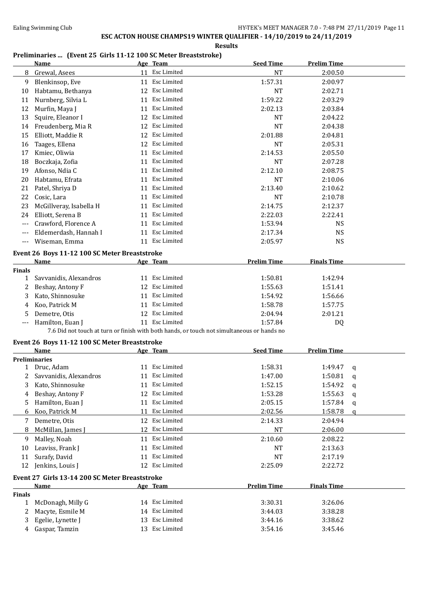## **ESC ACTON HOUSE CHAMPS19 WINTER QUALIFIER - 14/10/2019 to 24/11/2019**

**Results**

### **Preliminaries ... (Event 25 Girls 11-12 100 SC Meter Breaststroke)**

|               | <b>Name</b>                                                                                |    | Age Team           | <b>Seed Time</b>   | <b>Prelim Time</b> |   |
|---------------|--------------------------------------------------------------------------------------------|----|--------------------|--------------------|--------------------|---|
| 8             | Grewal, Asees                                                                              |    | 11 Esc Limited     | NT                 | 2:00.50            |   |
| 9             | Blenkinsop, Eve                                                                            |    | 11 Esc Limited     | 1:57.31            | 2:00.97            |   |
| 10            | Habtamu, Bethanya                                                                          |    | 12 Esc Limited     | <b>NT</b>          | 2:02.71            |   |
| 11            | Nurnberg, Silvia L                                                                         | 11 | Esc Limited        | 1:59.22            | 2:03.29            |   |
| 12            | Murfin, Maya J                                                                             |    | 11 Esc Limited     | 2:02.13            | 2:03.84            |   |
| 13            | Squire, Eleanor I                                                                          | 12 | Esc Limited        | <b>NT</b>          | 2:04.22            |   |
| 14            | Freudenberg, Mia R                                                                         | 12 | Esc Limited        | <b>NT</b>          | 2:04.38            |   |
| 15            | Elliott, Maddie R                                                                          | 12 | <b>Esc Limited</b> | 2:01.88            | 2:04.81            |   |
| 16            | Taages, Ellena                                                                             | 12 | Esc Limited        | <b>NT</b>          | 2:05.31            |   |
| 17            | Kmiec, Oliwia                                                                              | 11 | Esc Limited        | 2:14.53            | 2:05.50            |   |
| 18            | Boczkaja, Zofia                                                                            | 11 | Esc Limited        | <b>NT</b>          | 2:07.28            |   |
| 19            | Afonso, Ndia C                                                                             | 11 | Esc Limited        | 2:12.10            | 2:08.75            |   |
| 20            | Habtamu, Efrata                                                                            | 11 | Esc Limited        | <b>NT</b>          | 2:10.06            |   |
| 21            | Patel, Shriya D                                                                            | 11 | Esc Limited        | 2:13.40            | 2:10.62            |   |
| 22            | Cosic, Lara                                                                                | 11 | Esc Limited        | <b>NT</b>          | 2:10.78            |   |
| 23            | McGillveray, Isabella H                                                                    | 11 | Esc Limited        | 2:14.75            | 2:12.37            |   |
| 24            | Elliott, Serena B                                                                          | 11 | Esc Limited        | 2:22.03            | 2:22.41            |   |
| ---           | Crawford, Florence A                                                                       |    | 11 Esc Limited     | 1:53.94            | <b>NS</b>          |   |
|               | Eldemerdash, Hannah I                                                                      |    | 11 Esc Limited     | 2:17.34            | <b>NS</b>          |   |
| ---           |                                                                                            |    | 11 Esc Limited     |                    |                    |   |
| ---           | Wiseman, Emma                                                                              |    |                    | 2:05.97            | <b>NS</b>          |   |
|               | Event 26 Boys 11-12 100 SC Meter Breaststroke                                              |    |                    |                    |                    |   |
|               | Name                                                                                       |    | Age Team           | <b>Prelim Time</b> | <b>Finals Time</b> |   |
| <b>Finals</b> |                                                                                            |    |                    |                    |                    |   |
| 1             | Savvanidis, Alexandros                                                                     |    | 11 Esc Limited     | 1:50.81            | 1:42.94            |   |
| 2             | Beshay, Antony F                                                                           |    | 12 Esc Limited     | 1:55.63            | 1:51.41            |   |
| 3             | Kato, Shinnosuke                                                                           |    | 11 Esc Limited     | 1:54.92            | 1:56.66            |   |
| 4             | Koo, Patrick M                                                                             |    | 11 Esc Limited     | 1:58.78            | 1:57.75            |   |
| 5             | Demetre, Otis                                                                              |    | 12 Esc Limited     | 2:04.94            | 2:01.21            |   |
|               | Hamilton, Euan J                                                                           |    | 11 Esc Limited     | 1:57.84            | DQ                 |   |
|               | 7.6 Did not touch at turn or finish with both hands, or touch not simultaneous or hands no |    |                    |                    |                    |   |
|               | Event 26 Boys 11-12 100 SC Meter Breaststroke                                              |    |                    |                    |                    |   |
|               | Name                                                                                       |    | Age Team           | <b>Seed Time</b>   | <b>Prelim Time</b> |   |
|               | Preliminaries                                                                              |    |                    |                    |                    |   |
|               | 1 Druc, Adam                                                                               |    | 11 Esc Limited     | 1:58.31            | 1:49.47            | q |
| 2             | Savvanidis, Alexandros                                                                     |    | 11 Esc Limited     | 1:47.00            | 1:50.81            | q |
| 3             | Kato, Shinnosuke                                                                           |    | 11 Esc Limited     | 1:52.15            | 1:54.92            | q |
| 4             | Beshay, Antony F                                                                           |    | 12 Esc Limited     | 1:53.28            | 1:55.63            | q |
| 5             | Hamilton, Euan J                                                                           |    | 11 Esc Limited     | 2:05.15            | 1:57.84            | q |
| 6             | Koo, Patrick M                                                                             | 11 | Esc Limited        | 2:02.56            | 1:58.78            | q |
| 7             | Demetre, Otis                                                                              |    | 12 Esc Limited     | 2:14.33            | 2:04.94            |   |
| 8             | McMillan, James J                                                                          |    | 12 Esc Limited     | NT                 | 2:06.00            |   |
| 9.            | Malley, Noah                                                                               |    | 11 Esc Limited     | 2:10.60            | 2:08.22            |   |
| 10            | Leaviss, Frank J                                                                           |    | 11 Esc Limited     | NT                 | 2:13.63            |   |
| 11            | Surafy, David                                                                              |    | 11 Esc Limited     | NT                 | 2:17.19            |   |
| 12            | Jenkins, Louis J                                                                           |    | 12 Esc Limited     | 2:25.09            | 2:22.72            |   |
|               |                                                                                            |    |                    |                    |                    |   |
|               | Event 27 Girls 13-14 200 SC Meter Breaststroke<br><b>Name</b>                              |    | Age Team           | <b>Prelim Time</b> | <b>Finals Time</b> |   |
| <b>Finals</b> |                                                                                            |    |                    |                    |                    |   |
| $\mathbf{1}$  | McDonagh, Milly G                                                                          |    | 14 Esc Limited     | 3:30.31            | 3:26.06            |   |
| 2             | Macyte, Esmile M                                                                           |    | 14 Esc Limited     | 3:44.03            | 3:38.28            |   |
| 3             | Egelie, Lynette J                                                                          |    | 13 Esc Limited     | 3:44.16            | 3:38.62            |   |
| 4             | Gaspar, Tamzin                                                                             |    | 13 Esc Limited     | 3:54.16            | 3:45.46            |   |
|               |                                                                                            |    |                    |                    |                    |   |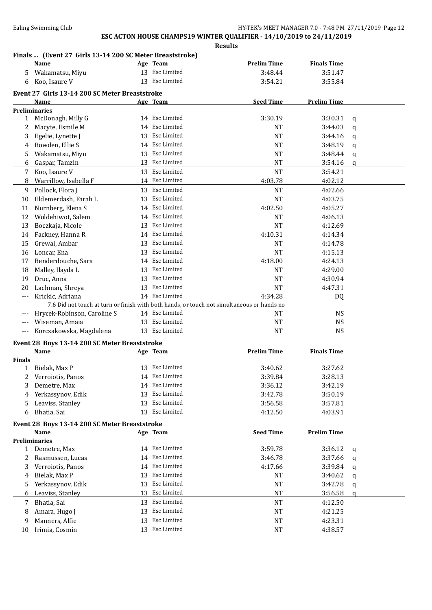#### **Results**

#### **Finals ... (Event 27 Girls 13-14 200 SC Meter Breaststroke)**

|               | <b>Name</b>                                    |    | Age Team           | <b>Prelim Time</b>                                                                         | <b>Finals Time</b> |              |
|---------------|------------------------------------------------|----|--------------------|--------------------------------------------------------------------------------------------|--------------------|--------------|
| 5             | Wakamatsu, Miyu                                |    | 13 Esc Limited     | 3:48.44                                                                                    | 3:51.47            |              |
| 6             | Koo, Isaure V                                  |    | 13 Esc Limited     | 3:54.21                                                                                    | 3:55.84            |              |
|               | Event 27 Girls 13-14 200 SC Meter Breaststroke |    |                    |                                                                                            |                    |              |
|               | Name                                           |    | Age Team           | <b>Seed Time</b>                                                                           | <b>Prelim Time</b> |              |
|               | <b>Preliminaries</b>                           |    |                    |                                                                                            |                    |              |
| 1             | McDonagh, Milly G                              |    | 14 Esc Limited     | 3:30.19                                                                                    | 3:30.31            | q            |
| 2             | Macyte, Esmile M                               |    | 14 Esc Limited     | <b>NT</b>                                                                                  | 3:44.03            | $\mathbf q$  |
| 3             | Egelie, Lynette J                              |    | 13 Esc Limited     | NT                                                                                         | 3:44.16            |              |
|               | Bowden, Ellie S                                |    | 14 Esc Limited     | <b>NT</b>                                                                                  | 3:48.19            | q            |
| 4             | Wakamatsu, Miyu                                |    | 13 Esc Limited     |                                                                                            |                    | $\mathbf q$  |
| 5             |                                                |    |                    | <b>NT</b>                                                                                  | 3:48.44            | q            |
| 6             | Gaspar, Tamzin                                 |    | 13 Esc Limited     | <b>NT</b>                                                                                  | 3:54.16            | $\mathbf{q}$ |
| 7             | Koo, Isaure V                                  |    | 13 Esc Limited     | <b>NT</b>                                                                                  | 3:54.21            |              |
| 8             | Warrillow, Isabella F                          |    | 14 Esc Limited     | 4:03.78                                                                                    | 4:02.12            |              |
| 9             | Pollock, Flora J                               |    | 13 Esc Limited     | <b>NT</b>                                                                                  | 4:02.66            |              |
| 10            | Eldemerdash, Farah L                           |    | 13 Esc Limited     | <b>NT</b>                                                                                  | 4:03.75            |              |
| 11            | Nurnberg, Elena S                              |    | 14 Esc Limited     | 4:02.50                                                                                    | 4:05.27            |              |
| 12            | Woldehiwot, Salem                              |    | 14 Esc Limited     | NT                                                                                         | 4:06.13            |              |
| 13            | Boczkaja, Nicole                               | 13 | Esc Limited        | <b>NT</b>                                                                                  | 4:12.69            |              |
| 14            | Fackney, Hanna R                               |    | 14 Esc Limited     | 4:10.31                                                                                    | 4:14.34            |              |
| 15            | Grewal, Ambar                                  | 13 | Esc Limited        | <b>NT</b>                                                                                  | 4:14.78            |              |
| 16            | Loncar, Ena                                    | 13 | <b>Esc Limited</b> | NT                                                                                         | 4:15.13            |              |
| 17            | Benderdouche, Sara                             | 14 | Esc Limited        | 4:18.00                                                                                    | 4:24.13            |              |
| 18            | Malley, Ilayda L                               | 13 | Esc Limited        | <b>NT</b>                                                                                  | 4:29.00            |              |
| 19            | Druc, Anna                                     | 13 | Esc Limited        | <b>NT</b>                                                                                  | 4:30.94            |              |
| 20            | Lachman, Shreya                                | 13 | Esc Limited        | <b>NT</b>                                                                                  | 4:47.31            |              |
|               | Krickic, Adriana                               |    | 14 Esc Limited     | 4:34.28                                                                                    | DQ                 |              |
|               |                                                |    |                    | 7.6 Did not touch at turn or finish with both hands, or touch not simultaneous or hands no |                    |              |
| ---           | Hrycek-Robinson, Caroline S                    |    | 14 Esc Limited     | NT                                                                                         | <b>NS</b>          |              |
| $---$         | Wiseman, Amaia                                 | 13 | Esc Limited        | <b>NT</b>                                                                                  | <b>NS</b>          |              |
| ---           | Korczakowska, Magdalena                        |    | 13 Esc Limited     | <b>NT</b>                                                                                  | <b>NS</b>          |              |
|               |                                                |    |                    |                                                                                            |                    |              |
|               | Event 28 Boys 13-14 200 SC Meter Breaststroke  |    |                    |                                                                                            |                    |              |
|               | <b>Name</b>                                    |    | Age Team           | <b>Prelim Time</b>                                                                         | <b>Finals Time</b> |              |
| <b>Finals</b> |                                                |    |                    |                                                                                            |                    |              |
| $\mathbf{1}$  | Bielak, Max P                                  |    | 13 Esc Limited     | 3:40.62                                                                                    | 3:27.62            |              |
| 2             | Verroiotis, Panos                              |    | 14 Esc Limited     | 3:39.84                                                                                    | 3:28.13            |              |
| 3             | Demetre, Max                                   |    | 14 Esc Limited     | 3:36.12                                                                                    | 3:42.19            |              |
| 4             | Yerkassynov, Edik                              |    | 13 Esc Limited     | 3:42.78                                                                                    | 3:50.19            |              |
| 5             | Leaviss, Stanley                               |    | 13 Esc Limited     | 3:56.58                                                                                    | 3:57.81            |              |
| 6             | Bhatia, Sai                                    |    | 13 Esc Limited     | 4:12.50                                                                                    | 4:03.91            |              |
|               | Event 28 Boys 13-14 200 SC Meter Breaststroke  |    |                    |                                                                                            |                    |              |
|               | Name                                           |    | Age Team           | <b>Seed Time</b>                                                                           | <b>Prelim Time</b> |              |
|               | <b>Preliminaries</b>                           |    |                    |                                                                                            |                    |              |
| $\mathbf{1}$  | Demetre, Max                                   |    | 14 Esc Limited     | 3:59.78                                                                                    | 3:36.12            | q            |
| 2             | Rasmussen, Lucas                               |    | 14 Esc Limited     | 3:46.78                                                                                    | 3:37.66            | q            |
| 3             | Verroiotis, Panos                              |    | 14 Esc Limited     | 4:17.66                                                                                    | 3:39.84            | q            |
| 4             | Bielak, Max P                                  | 13 | Esc Limited        | NT                                                                                         | 3:40.62            | q            |
| 5             | Yerkassynov, Edik                              |    | 13 Esc Limited     | NT                                                                                         | 3:42.78            | q            |
| 6             | Leaviss, Stanley                               | 13 | Esc Limited        | NT                                                                                         | 3:56.58            | $\mathbf q$  |
| 7             | Bhatia, Sai                                    |    | 13 Esc Limited     | <b>NT</b>                                                                                  | 4:12.50            |              |
|               |                                                | 13 | Esc Limited        | <b>NT</b>                                                                                  |                    |              |
| 8             | Amara, Hugo J                                  |    | 13 Esc Limited     |                                                                                            | 4:21.25            |              |
| 9             | Manners, Alfie                                 |    |                    | NT                                                                                         | 4:23.31            |              |
|               | 10 Irimia, Cosmin                              |    | 13 Esc Limited     | <b>NT</b>                                                                                  | 4:38.57            |              |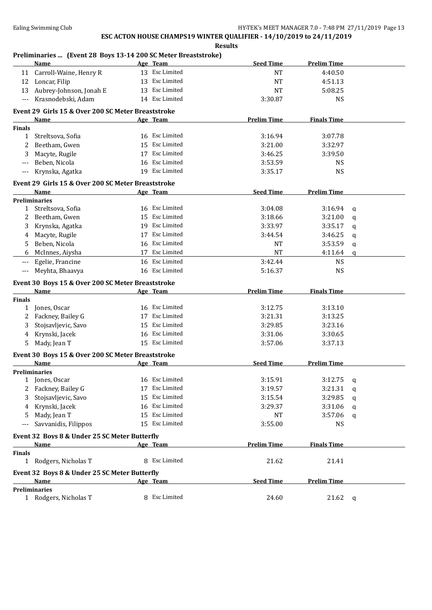**Results**

#### **Preliminaries ... (Event 28 Boys 13-14 200 SC Meter Breaststroke)**

|               | <b>Name</b>                                        |    | Age Team           | <b>Seed Time</b>   | <b>Prelim Time</b> |              |
|---------------|----------------------------------------------------|----|--------------------|--------------------|--------------------|--------------|
| 11            | Carroll-Waine, Henry R                             |    | 13 Esc Limited     | <b>NT</b>          | 4:40.50            |              |
| 12            | Loncar, Filip                                      |    | 13 Esc Limited     | <b>NT</b>          | 4:51.13            |              |
| 13            | Aubrey-Johnson, Jonah E                            |    | 13 Esc Limited     | <b>NT</b>          | 5:08.25            |              |
|               | Krasnodebski, Adam                                 |    | 14 Esc Limited     | 3:30.87            | <b>NS</b>          |              |
|               | Event 29 Girls 15 & Over 200 SC Meter Breaststroke |    |                    |                    |                    |              |
|               | Name                                               |    | Age Team           | <b>Prelim Time</b> | <b>Finals Time</b> |              |
| <b>Finals</b> |                                                    |    |                    |                    |                    |              |
| 1             | Streltsova, Sofia                                  |    | 16 Esc Limited     | 3:16.94            | 3:07.78            |              |
| 2             | Beetham, Gwen                                      | 15 | Esc Limited        | 3:21.00            | 3:32.97            |              |
| 3             | Macyte, Rugile                                     | 17 | Esc Limited        | 3:46.25            | 3:39.50            |              |
| $---$         | Beben, Nicola                                      | 16 | Esc Limited        | 3:53.59            | <b>NS</b>          |              |
| $---$         | Krynska, Agatka                                    |    | 19 Esc Limited     | 3:35.17            | <b>NS</b>          |              |
|               | Event 29 Girls 15 & Over 200 SC Meter Breaststroke |    |                    |                    |                    |              |
|               | Name                                               |    | Age Team           | <b>Seed Time</b>   | <b>Prelim Time</b> |              |
|               | <b>Preliminaries</b>                               |    |                    |                    |                    |              |
| 1             | Streltsova, Sofia                                  | 16 | Esc Limited        | 3:04.08            | 3:16.94            | q            |
| 2             | Beetham, Gwen                                      | 15 | Esc Limited        | 3:18.66            | 3:21.00            | q            |
| 3             | Krynska, Agatka                                    | 19 | Esc Limited        | 3:33.97            | 3:35.17            | $\mathbf q$  |
| 4             | Macyte, Rugile                                     | 17 | <b>Esc Limited</b> | 3:44.54            | 3:46.25            | q            |
| 5             | Beben, Nicola                                      | 16 | Esc Limited        | NT                 | 3:53.59            | q            |
| 6             | McInnes, Aiysha                                    | 17 | Esc Limited        | <b>NT</b>          | 4:11.64            | $\mathbf q$  |
| $---$         | Egelie, Francine                                   |    | 16 Esc Limited     | 3:42.44            | <b>NS</b>          |              |
| $---$         | Meyhta, Bhaavya                                    |    | 16 Esc Limited     | 5:16.37            | <b>NS</b>          |              |
|               | Event 30 Boys 15 & Over 200 SC Meter Breaststroke  |    |                    |                    |                    |              |
|               | Name                                               |    | Age Team           | <b>Prelim Time</b> | <b>Finals Time</b> |              |
| <b>Finals</b> |                                                    |    |                    |                    |                    |              |
| 1             | Jones, Oscar                                       |    | 16 Esc Limited     | 3:12.75            | 3:13.10            |              |
|               | Fackney, Bailey G                                  | 17 | Esc Limited        | 3:21.31            | 3:13.25            |              |
| 3             | Stojsavljevic, Savo                                | 15 | Esc Limited        | 3:29.85            | 3:23.16            |              |
| 4             | Krynski, Jacek                                     | 16 | Esc Limited        | 3:31.06            | 3:30.65            |              |
| 5.            | Mady, Jean T                                       |    | 15 Esc Limited     | 3:57.06            | 3:37.13            |              |
|               | Event 30 Boys 15 & Over 200 SC Meter Breaststroke  |    |                    |                    |                    |              |
|               | Name                                               |    | Age Team           | <b>Seed Time</b>   | <b>Prelim Time</b> |              |
|               | <b>Preliminaries</b>                               |    |                    |                    |                    |              |
|               | 1 Jones, Oscar                                     |    | 16 Esc Limited     | 3:15.91            | 3:12.75            | q            |
| 2             | Fackney, Bailey G                                  |    | 17 Esc Limited     | 3:19.57            | 3:21.31            | q            |
| 3             | Stojsavljevic, Savo                                | 15 | Esc Limited        | 3:15.54            | 3:29.85            | q            |
| 4             | Krynski, Jacek                                     |    | 16 Esc Limited     | 3:29.37            | 3:31.06            | q            |
| 5             | Mady, Jean T                                       | 15 | Esc Limited        | NT                 | 3:57.06            | q            |
|               | Savvanidis, Filippos                               |    | 15 Esc Limited     | 3:55.00            | <b>NS</b>          |              |
|               | Event 32 Boys 8 & Under 25 SC Meter Butterfly      |    |                    |                    |                    |              |
|               | Name                                               |    | Age Team           | <b>Prelim Time</b> | <b>Finals Time</b> |              |
| <b>Finals</b> |                                                    |    |                    |                    |                    |              |
| $\mathbf{1}$  | Rodgers, Nicholas T                                |    | 8 Esc Limited      | 21.62              | 21.41              |              |
|               | Event 32 Boys 8 & Under 25 SC Meter Butterfly      |    |                    |                    |                    |              |
|               | Name                                               |    | Age Team           | <b>Seed Time</b>   | <b>Prelim Time</b> |              |
|               | <b>Preliminaries</b>                               |    |                    |                    |                    |              |
|               | 1 Rodgers, Nicholas T                              |    | 8 Esc Limited      | 24.60              | 21.62              | $\mathbf{q}$ |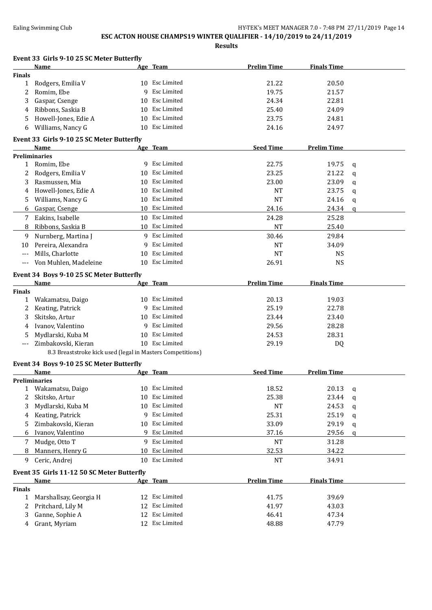## **ESC ACTON HOUSE CHAMPS19 WINTER QUALIFIER - 14/10/2019 to 24/11/2019**

|               | Name                                                       |    | Age Team           | <b>Prelim Time</b> | <b>Finals Time</b> |              |
|---------------|------------------------------------------------------------|----|--------------------|--------------------|--------------------|--------------|
| <b>Finals</b> |                                                            |    |                    |                    |                    |              |
| 1             | Rodgers, Emilia V                                          |    | 10 Esc Limited     | 21.22              | 20.50              |              |
| 2             | Romim, Ebe                                                 | 9  | Esc Limited        | 19.75              | 21.57              |              |
| 3             | Gaspar, Csenge                                             | 10 | Esc Limited        | 24.34              | 22.81              |              |
| 4             | Ribbons, Saskia B                                          | 10 | <b>Esc Limited</b> | 25.40              | 24.09              |              |
| 5             | Howell-Jones, Edie A                                       | 10 | Esc Limited        | 23.75              | 24.81              |              |
| 6             | Williams, Nancy G                                          | 10 | Esc Limited        | 24.16              | 24.97              |              |
|               | Event 33 Girls 9-10 25 SC Meter Butterfly                  |    |                    |                    | <b>Prelim Time</b> |              |
|               | Name<br><b>Preliminaries</b>                               |    | Age Team           | <b>Seed Time</b>   |                    |              |
| 1             | Romim, Ebe                                                 |    | 9 Esc Limited      | 22.75              | 19.75              | q            |
| 2             | Rodgers, Emilia V                                          |    | 10 Esc Limited     | 23.25              | 21.22              | q            |
| 3             | Rasmussen, Mia                                             | 10 | Esc Limited        | 23.00              | 23.09              |              |
|               |                                                            |    | Esc Limited        | <b>NT</b>          | 23.75              | q            |
| 4             | Howell-Jones, Edie A                                       | 10 |                    |                    |                    | q            |
| 5             | Williams, Nancy G                                          | 10 | Esc Limited        | <b>NT</b>          | 24.16              | q            |
| 6             | Gaspar, Csenge                                             | 10 | Esc Limited        | 24.16              | 24.34              | $\mathbf{q}$ |
| 7             | Eakins, Isabelle                                           | 10 | Esc Limited        | 24.28              | 25.28              |              |
| 8             | Ribbons, Saskia B                                          | 10 | Esc Limited        | <b>NT</b>          | 25.40              |              |
| 9             | Nurnberg, Martina J                                        |    | 9 Esc Limited      | 30.46              | 29.84              |              |
| 10            | Pereira, Alexandra                                         | 9  | Esc Limited        | <b>NT</b>          | 34.09              |              |
| $---$         | Mills, Charlotte                                           | 10 | Esc Limited        | <b>NT</b>          | <b>NS</b>          |              |
| ---           | Von Muhlen, Madeleine                                      |    | 10 Esc Limited     | 26.91              | <b>NS</b>          |              |
|               | Event 34 Boys 9-10 25 SC Meter Butterfly<br>Name           |    | Age Team           | <b>Prelim Time</b> | <b>Finals Time</b> |              |
| <b>Finals</b> |                                                            |    |                    |                    |                    |              |
| 1             | Wakamatsu, Daigo                                           | 10 | Esc Limited        | 20.13              | 19.03              |              |
| 2             | Keating, Patrick                                           | 9  | Esc Limited        | 25.19              | 22.78              |              |
| 3             | Skitsko, Artur                                             | 10 | Esc Limited        | 23.44              | 23.40              |              |
| 4             | Ivanov, Valentino                                          | 9  | Esc Limited        | 29.56              | 28.28              |              |
| 5             | Mydlarski, Kuba M                                          | 10 | Esc Limited        | 24.53              | 28.31              |              |
| ---           | Zimbakovski, Kieran                                        |    | 10 Esc Limited     | 29.19              | DQ                 |              |
|               | 8.3 Breaststroke kick used (legal in Masters Competitions) |    |                    |                    |                    |              |
|               | Event 34 Boys 9-10 25 SC Meter Butterfly                   |    |                    |                    |                    |              |
|               | Name                                                       |    | Age Team           | <b>Seed Time</b>   | <b>Prelim Time</b> |              |
|               | <b>Preliminaries</b>                                       |    | 10 Esc Limited     | 18.52              | 20.13              |              |
|               | 1 Wakamatsu, Daigo                                         |    | Esc Limited        |                    |                    | q            |
| 2             | Skitsko, Artur                                             | 10 |                    | 25.38              | 23.44              | q            |
| 3             | Mydlarski, Kuba M                                          | 10 | Esc Limited        | <b>NT</b>          | 24.53              | q            |
| 4             | Keating, Patrick                                           | 9  | Esc Limited        | 25.31              | 25.19              | q            |
| 5             | Zimbakovski, Kieran                                        | 10 | Esc Limited        | 33.09              | 29.19              | q            |
| 6             | Ivanov, Valentino                                          | 9  | Esc Limited        | 37.16              | 29.56              | q            |
| 7             | Mudge, Otto T                                              | 9  | Esc Limited        | <b>NT</b>          | 31.28              |              |
| 8             | Manners, Henry G                                           | 10 | Esc Limited        | 32.53              | 34.22              |              |
| 9             | Ceric, Andrej                                              | 10 | Esc Limited        | <b>NT</b>          | 34.91              |              |
|               | Event 35 Girls 11-12 50 SC Meter Butterfly                 |    |                    |                    |                    |              |
|               | Name                                                       |    | Age Team           | <b>Prelim Time</b> | <b>Finals Time</b> |              |
| <b>Finals</b> |                                                            |    | 12 Esc Limited     |                    |                    |              |
| $\mathbf{1}$  | Marshallsay, Georgia H                                     |    | 12 Esc Limited     | 41.75              | 39.69              |              |
| 2             | Pritchard, Lily M                                          |    | 12 Esc Limited     | 41.97              | 43.03              |              |
| 3             | Ganne, Sophie A                                            |    |                    | 46.41              | 47.34              |              |
| 4             | Grant, Myriam                                              |    | 12 Esc Limited     | 48.88              | 47.79              |              |
|               |                                                            |    |                    |                    |                    |              |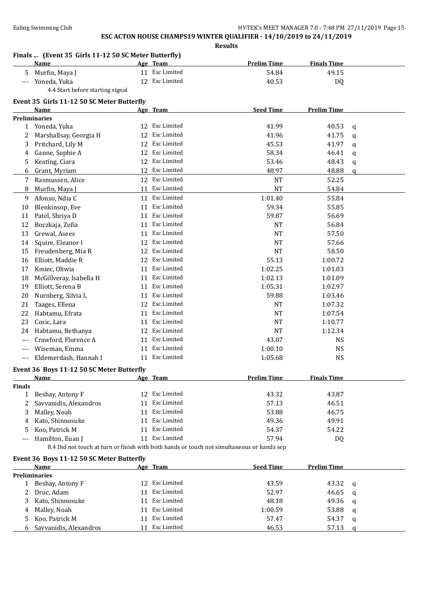|               | Finals  (Event 35 Girls 11-12 50 SC Meter Butterfly)<br><b>Name</b>                        |    | Age Team        | <b>Prelim Time</b> | <b>Finals Time</b> |             |
|---------------|--------------------------------------------------------------------------------------------|----|-----------------|--------------------|--------------------|-------------|
| 5             | Murfin, Maya J                                                                             |    | 11 Esc Limited  | 54.84              | 49.15              |             |
| $---$         | Yoneda, Yuka                                                                               |    | 12 Esc Limited  | 40.53              | DQ                 |             |
|               | 4.4 Start before starting signal                                                           |    |                 |                    |                    |             |
|               | Event 35 Girls 11-12 50 SC Meter Butterfly                                                 |    |                 |                    |                    |             |
|               | Name                                                                                       |    | Age Team        | <b>Seed Time</b>   | <b>Prelim Time</b> |             |
|               | <b>Preliminaries</b>                                                                       |    |                 |                    |                    |             |
|               | 1 Yoneda, Yuka                                                                             |    | 12 Esc Limited  | 41.99              | 40.53              | q           |
| 2             | Marshallsay, Georgia H                                                                     | 12 | Esc Limited     | 41.96              | 41.75              | q           |
| 3             | Pritchard, Lily M                                                                          |    | 12 Esc Limited  | 45.53              | 41.97              | q           |
| 4             | Ganne, Sophie A                                                                            |    | 12 Esc Limited  | 58.34              | 46.41              | q           |
| 5             | Keating, Ciara                                                                             |    | 12 Esc Limited  | 53.46              | 48.43              | q           |
| 6             | Grant, Myriam                                                                              |    | 12 Esc Limited  | 48.97              | 48.88              | q           |
| 7             | Rasmussen, Alice                                                                           |    | 12 Esc Limited  | <b>NT</b>          | 52.25              |             |
| 8             | Murfin, Maya J                                                                             |    | 11 Esc Limited  | <b>NT</b>          | 54.84              |             |
|               |                                                                                            |    |                 |                    |                    |             |
| 9             | Afonso, Ndia C                                                                             |    | 11 Esc Limited  | 1:01.40            | 55.84              |             |
| 10            | Blenkinsop, Eve                                                                            |    | 11 Esc Limited  | 59.34              | 55.85              |             |
| 11            | Patel, Shriya D                                                                            |    | 11 Esc Limited  | 59.87              | 56.69              |             |
| 12            | Boczkaja, Zofia                                                                            |    | 11 Esc Limited  | <b>NT</b>          | 56.84              |             |
| 13            | Grewal, Asees                                                                              |    | 11 Esc Limited  | <b>NT</b>          | 57.50              |             |
| 14            | Squire, Eleanor I                                                                          |    | 12 Esc Limited  | <b>NT</b>          | 57.66              |             |
| 15            | Freudenberg, Mia R                                                                         |    | 12 Esc Limited  | <b>NT</b>          | 58.50              |             |
| 16            | Elliott, Maddie R                                                                          |    | 12 Esc Limited  | 55.13              | 1:00.72            |             |
| 17            | Kmiec, Oliwia                                                                              |    | 11 Esc Limited  | 1:02.25            | 1:01.03            |             |
| 18            | McGillveray, Isabella H                                                                    | 11 | Esc Limited     | 1:02.13            | 1:01.09            |             |
| 19            | Elliott, Serena B                                                                          | 11 | Esc Limited     | 1:05.31            | 1:02.97            |             |
| 20            | Nurnberg, Silvia L                                                                         | 11 | Esc Limited     | 59.88              | 1:03.46            |             |
| 21            | Taages, Ellena                                                                             | 12 | Esc Limited     | NT                 | 1:07.32            |             |
| 22            | Habtamu, Efrata                                                                            | 11 | Esc Limited     | NT                 | 1:07.54            |             |
| 23            | Cosic, Lara                                                                                |    | 11 Esc Limited  | <b>NT</b>          | 1:10.77            |             |
| 24            | Habtamu, Bethanya                                                                          | 12 | Esc Limited     | <b>NT</b>          | 1:12.34            |             |
| $---$         | Crawford, Florence A                                                                       |    | 11 Esc Limited  | 43.07              | <b>NS</b>          |             |
| $---$         | Wiseman, Emma                                                                              |    | 11 Esc Limited  | 1:00.10            | <b>NS</b>          |             |
| $---$         | Eldemerdash, Hannah I                                                                      |    | 11 Esc Limited  | 1:05.68            | <b>NS</b>          |             |
|               |                                                                                            |    |                 |                    |                    |             |
|               | Event 36 Boys 11-12 50 SC Meter Butterfly                                                  |    |                 |                    | <b>Finals Time</b> |             |
| <b>Finals</b> | <u>Name</u>                                                                                |    | <u>Age Team</u> | <u>Prelim Time</u> |                    |             |
| $\mathbf{1}$  | Beshay, Antony F                                                                           |    | 12 Esc Limited  | 43.32              | 43.87              |             |
| 2             | Savvanidis, Alexandros                                                                     |    | 11 Esc Limited  | 57.13              | 46.51              |             |
| 3             | Malley, Noah                                                                               |    | 11 Esc Limited  | 53.88              | 46.75              |             |
| 4             | Kato, Shinnosuke                                                                           |    | 11 Esc Limited  | 49.36              | 49.91              |             |
| 5             | Koo, Patrick M                                                                             |    | 11 Esc Limited  | 54.37              | 54.22              |             |
| $---$         | Hamilton, Euan J                                                                           |    | 11 Esc Limited  | 57.94              | DQ                 |             |
|               | 8.4 Did not touch at turn or finish with both hands or touch not simultaneous or hands sep |    |                 |                    |                    |             |
|               |                                                                                            |    |                 |                    |                    |             |
|               | Event 36 Boys 11-12 50 SC Meter Butterfly                                                  |    |                 | <b>Seed Time</b>   |                    |             |
|               | Name<br><b>Preliminaries</b>                                                               |    | Age Team        |                    | <b>Prelim Time</b> |             |
|               | Beshay, Antony F                                                                           |    | 12 Esc Limited  | 43.59              | 43.32              |             |
| 1             |                                                                                            |    | 11 Esc Limited  |                    |                    | q           |
| 2             | Druc, Adam                                                                                 |    |                 | 52.97              | 46.65              | q           |
| 3             | Kato, Shinnosuke                                                                           |    | 11 Esc Limited  | 48.18              | 49.36              | q           |
| 4             | Malley, Noah                                                                               |    | 11 Esc Limited  | 1:00.59            | 53.88              | q           |
| 5             | Koo, Patrick M                                                                             |    | 11 Esc Limited  | 57.47              | 54.37              | q           |
| 6             | Savvanidis, Alexandros                                                                     |    | 11 Esc Limited  | 46.53              | 57.13              | $\mathbf q$ |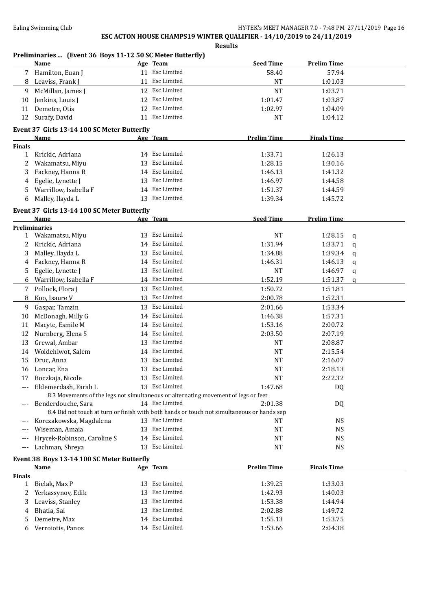|               | Preliminaries  (Event 36 Boys 11-12 50 SC Meter Butterfly)<br>Name                                         |    | Age Team                         | <b>Seed Time</b>   | <b>Prelim Time</b> |   |
|---------------|------------------------------------------------------------------------------------------------------------|----|----------------------------------|--------------------|--------------------|---|
|               | 7 Hamilton, Euan J                                                                                         |    | 11 Esc Limited                   | 58.40              | 57.94              |   |
| 8             | Leaviss, Frank J                                                                                           |    | 11 Esc Limited                   | <b>NT</b>          | 1:01.03            |   |
| 9             | McMillan, James J                                                                                          |    | 12 Esc Limited                   | <b>NT</b>          | 1:03.71            |   |
| 10            | Jenkins, Louis J                                                                                           |    | 12 Esc Limited                   | 1:01.47            | 1:03.87            |   |
| 11            | Demetre, Otis                                                                                              |    | 12 Esc Limited                   | 1:02.97            | 1:04.09            |   |
| 12            | Surafy, David                                                                                              |    | 11 Esc Limited                   | <b>NT</b>          | 1:04.12            |   |
|               | Event 37 Girls 13-14 100 SC Meter Butterfly                                                                |    |                                  |                    |                    |   |
|               | Name                                                                                                       |    | Age Team                         | <b>Prelim Time</b> | <b>Finals Time</b> |   |
| <b>Finals</b> |                                                                                                            |    |                                  |                    |                    |   |
| 1             | Krickic, Adriana                                                                                           |    | 14 Esc Limited                   | 1:33.71            | 1:26.13            |   |
| 2             | Wakamatsu, Miyu                                                                                            |    | 13 Esc Limited                   | 1:28.15            | 1:30.16            |   |
| 3             | Fackney, Hanna R                                                                                           |    | 14 Esc Limited                   | 1:46.13            | 1:41.32            |   |
| 4             | Egelie, Lynette J                                                                                          |    | 13 Esc Limited                   | 1:46.97            | 1:44.58            |   |
| 5             | Warrillow, Isabella F                                                                                      |    | 14 Esc Limited                   | 1:51.37            | 1:44.59            |   |
| 6             | Malley, Ilayda L                                                                                           |    | 13 Esc Limited                   | 1:39.34            | 1:45.72            |   |
|               |                                                                                                            |    |                                  |                    |                    |   |
|               | Event 37 Girls 13-14 100 SC Meter Butterfly<br>Name                                                        |    | Age Team                         | <b>Seed Time</b>   | <b>Prelim Time</b> |   |
|               | <b>Preliminaries</b>                                                                                       |    |                                  |                    |                    |   |
| $\mathbf{1}$  | Wakamatsu, Miyu                                                                                            |    | 13 Esc Limited                   | <b>NT</b>          | 1:28.15            | q |
| 2             | Krickic, Adriana                                                                                           | 14 | Esc Limited                      | 1:31.94            | 1:33.71            | q |
| 3             | Malley, Ilayda L                                                                                           | 13 | Esc Limited                      | 1:34.88            | 1:39.34            | q |
| 4             | Fackney, Hanna R                                                                                           | 14 | Esc Limited                      | 1:46.31            | 1:46.13            | q |
| 5             | Egelie, Lynette J                                                                                          | 13 | Esc Limited                      | <b>NT</b>          | 1:46.97            | q |
| 6             | Warrillow, Isabella F                                                                                      | 14 | Esc Limited                      | 1:52.19            | 1:51.37            | q |
| 7             | Pollock, Flora J                                                                                           |    | 13 Esc Limited                   | 1:50.72            | 1:51.81            |   |
| 8             | Koo, Isaure V                                                                                              | 13 | Esc Limited                      | 2:00.78            | 1:52.31            |   |
| 9             | Gaspar, Tamzin                                                                                             |    | 13 Esc Limited                   | 2:01.66            | 1:53.34            |   |
| 10            | McDonagh, Milly G                                                                                          |    | 14 Esc Limited                   | 1:46.38            | 1:57.31            |   |
| 11            | Macyte, Esmile M                                                                                           | 14 | Esc Limited                      | 1:53.16            | 2:00.72            |   |
| 12            | Nurnberg, Elena S                                                                                          | 14 | Esc Limited                      | 2:03.50            | 2:07.19            |   |
|               |                                                                                                            |    | Esc Limited                      |                    |                    |   |
| 13            | Grewal, Ambar                                                                                              | 13 | Esc Limited                      | <b>NT</b>          | 2:08.87            |   |
| 14            | Woldehiwot, Salem                                                                                          | 14 |                                  | <b>NT</b>          | 2:15.54            |   |
| 15            | Druc, Anna                                                                                                 | 13 | Esc Limited<br>13 Esc Limited    | <b>NT</b>          | 2:16.07            |   |
| 16            | Loncar, Ena                                                                                                |    |                                  | <b>NT</b>          | 2:18.13            |   |
| 17            | Boczkaja, Nicole                                                                                           |    | 13 Esc Limited<br>13 Esc Limited | NT                 | 2:22.32            |   |
| $---$         | Eldemerdash, Farah L<br>8.3 Movements of the legs not simultaneous or alternating movement of legs or feet |    |                                  | 1:47.68            | DQ                 |   |
| ---           | Benderdouche, Sara                                                                                         |    | 14 Esc Limited                   | 2:01.38            | DQ                 |   |
|               | 8.4 Did not touch at turn or finish with both hands or touch not simultaneous or hands sep                 |    |                                  |                    |                    |   |
| ---           | Korczakowska, Magdalena                                                                                    |    | 13 Esc Limited                   | NT                 | <b>NS</b>          |   |
| $---$         | Wiseman, Amaia                                                                                             |    | 13 Esc Limited                   | NT                 | <b>NS</b>          |   |
| ---           | Hrycek-Robinson, Caroline S                                                                                |    | 14 Esc Limited                   | NT                 | <b>NS</b>          |   |
| $---$         | Lachman, Shreya                                                                                            | 13 | Esc Limited                      | NT                 | <b>NS</b>          |   |
|               |                                                                                                            |    |                                  |                    |                    |   |
|               | Event 38 Boys 13-14 100 SC Meter Butterfly                                                                 |    |                                  |                    |                    |   |
|               | Name                                                                                                       |    | Age Team                         | <b>Prelim Time</b> | <b>Finals Time</b> |   |
| Finals        | Bielak, Max P                                                                                              |    | 13 Esc Limited                   | 1:39.25            | 1:33.03            |   |
| 1             |                                                                                                            | 13 | Esc Limited                      | 1:42.93            |                    |   |
| 2             | Yerkassynov, Edik                                                                                          |    | Esc Limited                      | 1:53.38            | 1:40.03            |   |
| 3             | Leaviss, Stanley                                                                                           | 13 | Esc Limited                      |                    | 1:44.94            |   |
| 4             | Bhatia, Sai                                                                                                | 13 | Esc Limited                      | 2:02.88            | 1:49.72            |   |
| 5             | Demetre, Max                                                                                               | 14 | 14 Esc Limited                   | 1:55.13            | 1:53.75            |   |
| 6             | Verroiotis, Panos                                                                                          |    |                                  | 1:53.66            | 2:04.38            |   |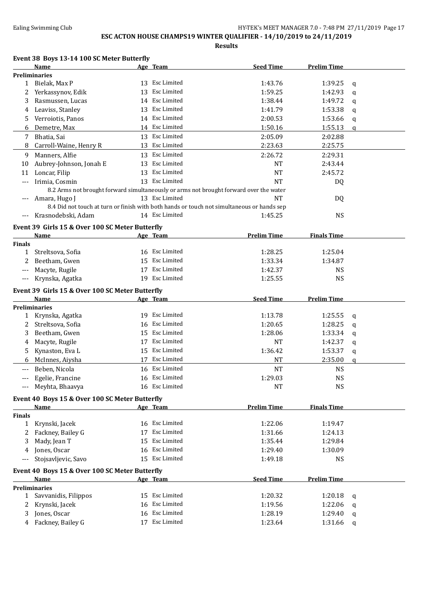**ESC ACTON HOUSE CHAMPS19 WINTER QUALIFIER - 14/10/2019 to 24/11/2019**

**Results**

### **Event 38 Boys 13-14 100 SC Meter Butterfly**

|               | Name                                            |    | Age Team       | <b>Seed Time</b>                                                                           | <b>Prelim Time</b> |             |
|---------------|-------------------------------------------------|----|----------------|--------------------------------------------------------------------------------------------|--------------------|-------------|
|               | <b>Preliminaries</b>                            |    |                |                                                                                            |                    |             |
| 1             | Bielak, Max P                                   |    | 13 Esc Limited | 1:43.76                                                                                    | 1:39.25            | q           |
| 2             | Yerkassynov, Edik                               | 13 | Esc Limited    | 1:59.25                                                                                    | 1:42.93            | q           |
| 3             | Rasmussen, Lucas                                |    | 14 Esc Limited | 1:38.44                                                                                    | 1:49.72            | q           |
| 4             | Leaviss, Stanley                                |    | 13 Esc Limited | 1:41.79                                                                                    | 1:53.38            | q           |
| 5.            | Verroiotis, Panos                               |    | 14 Esc Limited | 2:00.53                                                                                    | 1:53.66            | q           |
| 6             | Demetre, Max                                    |    | 14 Esc Limited | 1:50.16                                                                                    | 1:55.13            | $\mathbf q$ |
| 7             | Bhatia, Sai                                     |    | 13 Esc Limited | 2:05.09                                                                                    | 2:02.88            |             |
| 8             | Carroll-Waine, Henry R                          |    | 13 Esc Limited | 2:23.63                                                                                    | 2:25.75            |             |
| 9             | Manners, Alfie                                  | 13 | Esc Limited    | 2:26.72                                                                                    | 2:29.31            |             |
| 10            | Aubrey-Johnson, Jonah E                         | 13 | Esc Limited    | <b>NT</b>                                                                                  | 2:43.44            |             |
| 11            | Loncar, Filip                                   | 13 | Esc Limited    | <b>NT</b>                                                                                  | 2:45.72            |             |
| $---$         | Irimia, Cosmin                                  |    | 13 Esc Limited | <b>NT</b>                                                                                  | DQ                 |             |
|               |                                                 |    |                | 8.2 Arms not brought forward simultaneously or arms not brought forward over the water     |                    |             |
|               | Amara, Hugo J                                   |    | 13 Esc Limited | NT                                                                                         | DQ                 |             |
|               |                                                 |    |                | 8.4 Did not touch at turn or finish with both hands or touch not simultaneous or hands sep |                    |             |
| $---$         | Krasnodebski, Adam                              |    | 14 Esc Limited | 1:45.25                                                                                    | <b>NS</b>          |             |
|               |                                                 |    |                |                                                                                            |                    |             |
|               | Event 39 Girls 15 & Over 100 SC Meter Butterfly |    |                |                                                                                            |                    |             |
|               | Name                                            |    | Age Team       | <b>Prelim Time</b>                                                                         | <b>Finals Time</b> |             |
| <b>Finals</b> |                                                 |    | 16 Esc Limited |                                                                                            |                    |             |
| 1             | Streltsova, Sofia                               |    | 15 Esc Limited | 1:28.25                                                                                    | 1:25.04            |             |
| 2             | Beetham, Gwen                                   |    | 17 Esc Limited | 1:33.34                                                                                    | 1:34.87            |             |
| ---           | Macyte, Rugile                                  |    |                | 1:42.37                                                                                    | <b>NS</b>          |             |
| ---           | Krynska, Agatka                                 |    | 19 Esc Limited | 1:25.55                                                                                    | <b>NS</b>          |             |
|               | Event 39 Girls 15 & Over 100 SC Meter Butterfly |    |                |                                                                                            |                    |             |
|               | Name                                            |    | Age Team       | <b>Seed Time</b>                                                                           | <b>Prelim Time</b> |             |
|               | <b>Preliminaries</b>                            |    |                |                                                                                            |                    |             |
| 1             | Krynska, Agatka                                 |    | 19 Esc Limited | 1:13.78                                                                                    | 1:25.55            | q           |
| 2             | Streltsova, Sofia                               | 16 | Esc Limited    | 1:20.65                                                                                    | 1:28.25            | q           |
| 3             | Beetham, Gwen                                   |    | 15 Esc Limited | 1:28.06                                                                                    | 1:33.34            | q           |
| 4             | Macyte, Rugile                                  |    | 17 Esc Limited | NT                                                                                         | 1:42.37            | q           |
| 5             | Kynaston, Eva L                                 | 15 | Esc Limited    | 1:36.42                                                                                    | 1:53.37            | q           |
| 6             | McInnes, Aiysha                                 |    | 17 Esc Limited | <b>NT</b>                                                                                  | 2:35.00            | q           |
| $---$         | Beben, Nicola                                   |    | 16 Esc Limited | <b>NT</b>                                                                                  | <b>NS</b>          |             |
|               | Egelie, Francine                                |    | 16 Esc Limited | 1:29.03                                                                                    | <b>NS</b>          |             |
| ---           | Meyhta, Bhaavya                                 |    | 16 Esc Limited | <b>NT</b>                                                                                  | <b>NS</b>          |             |
|               | Event 40 Boys 15 & Over 100 SC Meter Butterfly  |    |                |                                                                                            |                    |             |
|               | <b>Name</b>                                     |    | Age Team       | <b>Prelim Time</b>                                                                         | <b>Finals Time</b> |             |
| <b>Finals</b> |                                                 |    |                |                                                                                            |                    |             |
| $\mathbf{1}$  | Krynski, Jacek                                  |    | 16 Esc Limited | 1:22.06                                                                                    | 1:19.47            |             |
| 2             | Fackney, Bailey G                               | 17 | Esc Limited    | 1:31.66                                                                                    | 1:24.13            |             |
| 3             | Mady, Jean T                                    | 15 | Esc Limited    | 1:35.44                                                                                    | 1:29.84            |             |
|               | Jones, Oscar                                    |    | 16 Esc Limited | 1:29.40                                                                                    | 1:30.09            |             |
| 4             |                                                 |    | 15 Esc Limited |                                                                                            |                    |             |
| $---$         | Stojsavljevic, Savo                             |    |                | 1:49.18                                                                                    | <b>NS</b>          |             |
|               | Event 40 Boys 15 & Over 100 SC Meter Butterfly  |    |                |                                                                                            |                    |             |
|               | Name                                            |    | Age Team       | <b>Seed Time</b>                                                                           | <b>Prelim Time</b> |             |
|               | <b>Preliminaries</b>                            |    |                |                                                                                            |                    |             |
| 1             | Savvanidis, Filippos                            |    | 15 Esc Limited | 1:20.32                                                                                    | 1:20.18            | q           |
| 2             | Krynski, Jacek                                  | 16 | Esc Limited    | 1:19.56                                                                                    | 1:22.06            | q           |
| 3             | Jones, Oscar                                    | 16 | Esc Limited    | 1:28.19                                                                                    | 1:29.40            | q           |
| 4             | Fackney, Bailey G                               |    | 17 Esc Limited | 1:23.64                                                                                    | 1:31.66            | q           |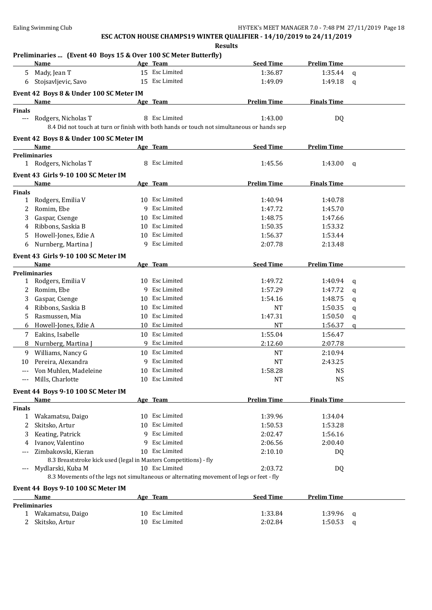|               | Preliminaries  (Event 40 Boys 15 & Over 100 SC Meter Butterfly)                            |   |                |                    |                    |   |
|---------------|--------------------------------------------------------------------------------------------|---|----------------|--------------------|--------------------|---|
|               | Name                                                                                       |   | Age Team       | <b>Seed Time</b>   | <b>Prelim Time</b> |   |
|               | 5 Mady, Jean T                                                                             |   | 15 Esc Limited | 1:36.87            | 1:35.44            | q |
| 6             | Stojsavljevic, Savo                                                                        |   | 15 Esc Limited | 1:49.09            | 1:49.18            | q |
|               | Event 42 Boys 8 & Under 100 SC Meter IM                                                    |   |                |                    |                    |   |
|               | <b>Name</b>                                                                                |   | Age Team       | <b>Prelim Time</b> | <b>Finals Time</b> |   |
| <b>Finals</b> |                                                                                            |   |                |                    |                    |   |
| $--$          | Rodgers, Nicholas T                                                                        |   | 8 Esc Limited  | 1:43.00            | DQ                 |   |
|               | 8.4 Did not touch at turn or finish with both hands or touch not simultaneous or hands sep |   |                |                    |                    |   |
|               | Event 42 Boys 8 & Under 100 SC Meter IM                                                    |   |                |                    |                    |   |
|               | Name                                                                                       |   | Age Team       | <b>Seed Time</b>   | <b>Prelim Time</b> |   |
|               | <b>Preliminaries</b>                                                                       |   |                |                    |                    |   |
|               | 1 Rodgers, Nicholas T                                                                      |   | 8 Esc Limited  | 1:45.56            | 1:43.00            | q |
|               | Event 43 Girls 9-10 100 SC Meter IM                                                        |   |                |                    |                    |   |
|               | Name                                                                                       |   | Age Team       | <b>Prelim Time</b> | <b>Finals Time</b> |   |
| Finals        |                                                                                            |   |                |                    |                    |   |
| $\mathbf{1}$  | Rodgers, Emilia V                                                                          |   | 10 Esc Limited | 1:40.94            | 1:40.78            |   |
| 2             | Romim, Ebe                                                                                 |   | 9 Esc Limited  | 1:47.72            | 1:45.70            |   |
| 3             | Gaspar, Csenge                                                                             |   | 10 Esc Limited | 1:48.75            | 1:47.66            |   |
| 4             | Ribbons, Saskia B                                                                          |   | 10 Esc Limited | 1:50.35            | 1:53.32            |   |
| 5             | Howell-Jones, Edie A                                                                       |   | 10 Esc Limited | 1:56.37            | 1:53.44            |   |
| 6             | Nurnberg, Martina J                                                                        |   | 9 Esc Limited  | 2:07.78            | 2:13.48            |   |
|               | Event 43 Girls 9-10 100 SC Meter IM                                                        |   |                |                    |                    |   |
|               | Name                                                                                       |   | Age Team       | <b>Seed Time</b>   | <b>Prelim Time</b> |   |
|               | <b>Preliminaries</b>                                                                       |   |                |                    |                    |   |
|               | 1 Rodgers, Emilia V                                                                        |   | 10 Esc Limited | 1:49.72            | 1:40.94            | q |
| 2             | Romim, Ebe                                                                                 |   | 9 Esc Limited  | 1:57.29            | 1:47.72            | q |
| 3             | Gaspar, Csenge                                                                             |   | 10 Esc Limited | 1:54.16            | 1:48.75            | q |
| 4             | Ribbons, Saskia B                                                                          |   | 10 Esc Limited | NT                 | 1:50.35            | q |
| 5.            | Rasmussen, Mia                                                                             |   | 10 Esc Limited | 1:47.31            | 1:50.50            | q |
| 6             | Howell-Jones, Edie A                                                                       |   | 10 Esc Limited | NT                 | 1:56.37            | a |
|               | 7 Eakins, Isabelle                                                                         |   | 10 Esc Limited | 1:55.04            | 1:56.47            |   |
| 8             | Nurnberg, Martina J                                                                        |   | 9 Esc Limited  | 2:12.60            | 2:07.78            |   |
| 9             | Williams, Nancy G                                                                          |   | 10 Esc Limited | <b>NT</b>          | 2:10.94            |   |
| 10            | Pereira, Alexandra                                                                         |   | 9 Esc Limited  | <b>NT</b>          | 2:43.25            |   |
|               | Von Muhlen, Madeleine                                                                      |   | 10 Esc Limited | 1:58.28            | <b>NS</b>          |   |
|               | Mills, Charlotte                                                                           |   | 10 Esc Limited | NT                 | <b>NS</b>          |   |
|               | Event 44 Boys 9-10 100 SC Meter IM                                                         |   |                |                    |                    |   |
|               | <b>Name</b>                                                                                |   | Age Team       | <b>Prelim Time</b> | <b>Finals Time</b> |   |
| <b>Finals</b> |                                                                                            |   |                |                    |                    |   |
| 1             | Wakamatsu, Daigo                                                                           |   | 10 Esc Limited | 1:39.96            | 1:34.04            |   |
| 2             | Skitsko, Artur                                                                             |   | 10 Esc Limited | 1:50.53            | 1:53.28            |   |
| 3             | Keating, Patrick                                                                           |   | 9 Esc Limited  | 2:02.47            | 1:56.16            |   |
| 4             | Ivanov, Valentino                                                                          | q | Esc Limited    | 2:06.56            | 2:00.40            |   |
|               | Zimbakovski, Kieran                                                                        |   | 10 Esc Limited | 2:10.10            | DQ                 |   |
|               | 8.3 Breaststroke kick used (legal in Masters Competitions) - fly                           |   |                |                    |                    |   |
| $---$         | Mydlarski, Kuba M                                                                          |   | 10 Esc Limited | 2:03.72            | DQ                 |   |
|               | 8.3 Movements of the legs not simultaneous or alternating movement of legs or feet - fly   |   |                |                    |                    |   |
|               | Event 44 Boys 9-10 100 SC Meter IM                                                         |   |                |                    |                    |   |
|               | <b>Name</b>                                                                                |   | Age Team       | <b>Seed Time</b>   | <b>Prelim Time</b> |   |

| Name             | Age Team       | <b>Seed Time</b> | <b>Prelim Time</b> |  |
|------------------|----------------|------------------|--------------------|--|
| Preliminaries    |                |                  |                    |  |
| Wakamatsu, Daigo | 10 Esc Limited | 1:33.84          | 1:39.96<br>a       |  |
| Skitsko, Artur   | 10 Esc Limited | 2:02.84          | 1:50.53            |  |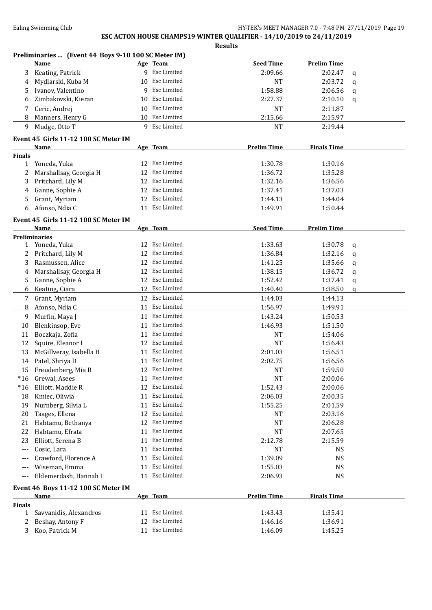**Preliminaries ... (Event 44 Boys 9-10 100 SC Meter IM) Name Age Team Seed Time Prelim Time** 3 Keating, Patrick 9 Esc Limited 2:09.66 2:02.47 q 4 Mydlarski, Kuba M 10 Esc Limited 10 and NT 2:03.72 q 5 Ivanov, Valentino 9 Esc Limited 1:58.88 2:06.56 q 6 Zimbakovski, Kieran 10 Esc Limited 2:27.37 2:10.10 q 7 Ceric, Andrej 10 Esc Limited NT 2:11.87 8 Manners, Henry G 10 Esc Limited 2:15.66 2:15.97 9 Mudge, Otto T 9 Esc Limited NT 2:19.44 **Event 45 Girls 11-12 100 SC Meter IM Name Age Team Prelim Time Finals Time Finals** 1 Yoneda, Yuka 12 Esc Limited 1:30.78 1:30.16 2 Marshallsay, Georgia H 12 Esc Limited 1:36.72 1:35.28 3 Pritchard, Lily M 12 Esc Limited 1:32.16 1:36.56 4 Ganne, Sophie A 12 Esc Limited 1:37.41 1:37.03 5 Grant, Myriam 12 Esc Limited 1:44.13 1:44.04 6 Afonso, Ndia C 11 Esc Limited 1:49.91 1:50.44 **Event 45 Girls 11-12 100 SC Meter IM Name Age Team Seed Time Prelim Time Preliminaries** 1 Yoneda, Yuka 12 Esc Limited 1:33.63 1:30.78 q 2 Pritchard, Lily M 12 Esc Limited 1:36.84 1:32.16 q 3 Rasmussen, Alice 12 Esc Limited 1:41.25 1:35.66 q 4 Marshallsay, Georgia H 12 Esc Limited 1:38.15 1:36.72 q 5 Ganne, Sophie A 12 Esc Limited 1:52.42 1:37.41 q 6 Keating, Ciara 12 Esc Limited 1:40.40 1:38.50 q 7 Grant, Myriam 12 Esc Limited 1:44.03 1:44.13 8 Afonso, Ndia C 11 Esc Limited 1:56.97 1:49.91 9 Murfin, Maya J 11 Esc Limited 1:43.24 1:50.53 10 Blenkinsop, Eve 11 Esc Limited 1:46.93 1:51.50 11 Boczkaja, Zofia 11 august 11 Esc Limited 11 august 11 august 1:54.06 12 Squire, Eleanor I 12 Esc Limited NT 1:56.43 13 McGillveray, Isabella H 11 Esc Limited 2:01.03 1:56.51 14 Patel, Shriya D 11 Esc Limited 2:02.75 1:56.56 15 Freudenberg, Mia R 12 Esc Limited 15 NT 1:59.50 \*16 Grewal, Asees 11 Esc Limited NT 2:00.06 \*16 Elliott, Maddie R 12 Esc Limited 1:52.43 2:00.06 18 Kmiec, Oliwia 11 Esc Limited 2:06.03 2:00.35 19 Nurnberg, Silvia L 11 Esc Limited 1:55.25 2:01.59 20 Taages, Ellena 12 Esc Limited 12 Esc Limited 12.03.16 21 Habtamu, Bethanya 12 Esc Limited NT 2:06.28 22 Habtamu, Efrata 11 Esc Limited 12:07.65 23 Elliott, Serena B 11 Esc Limited 2:12.78 2:15.59 Cosic, Lara **11 Esc Limited** NT NS --- Crawford, Florence A 11 Esc Limited 1:39.09 NS Viseman, Emma 11 Esc Limited 1:55.03 NS Eldemerdash, Hannah I 11 Esc Limited 2:06.93 NS **Event 46 Boys 11-12 100 SC Meter IM Name Age Team Prelim Time Finals Time Finals** 1 Savvanidis, Alexandros 11 Esc Limited 1:43.43 1:35.41 2 Beshay, Antony F 12 Esc Limited 1:46.16 1:36.91 3 Koo, Patrick M 11 Esc Limited 1:46.09 1:45.25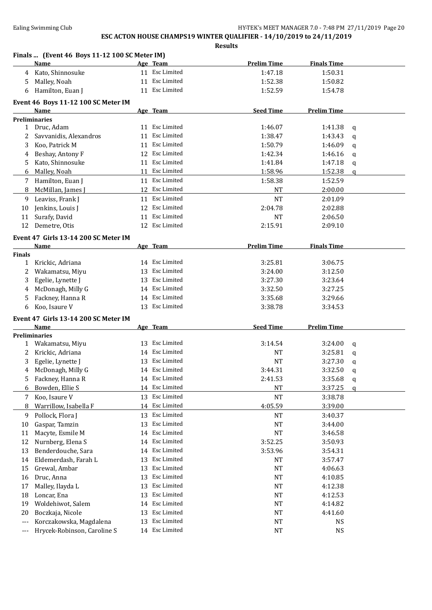**Results Finals ... (Event 46 Boys 11-12 100 SC Meter IM) Name Age Team Prelim Time Finals Time** 4 Kato, Shinnosuke 11 Esc Limited 1:47.18 1:50.31 5 Malley, Noah 11 Esc Limited 1:52.38 1:50.82 6 Hamilton, Euan J 11 Esc Limited 1:52.59 1:54.78 **Event 46 Boys 11-12 100 SC Meter IM Name Age Team Seed Time Prelim Time Preliminaries** 1 Druc, Adam 11 Esc Limited 1:46.07 1:41.38 q 2 Savvanidis, Alexandros 11 Esc Limited 1:38.47 1:43.43 q 3 Koo, Patrick M 11 Esc Limited 1:50.79 1:46.09 q 4 Beshay, Antony F 12 Esc Limited 1:42.34 1:46.16 q 5 Kato, Shinnosuke 11 Esc Limited 1:41.84 1:47.18 q 6 Malley, Noah 11 Esc Limited 1:58.96 1:52.38 q 7 Hamilton, Euan J 11 Esc Limited 1:58.38 1:52.59 8 McMillan, James J 12 Esc Limited NT 2:00.00 9 Leaviss, Frank J 11 Esc Limited 11 Arr 12:01.09 10 Jenkins, Louis J 12 Esc Limited 2:04.78 2:02.88 11 Surafy, David **11 Exc Limited** 11 Exc Limited **NT** 2:06.50 12 Demetre, Otis 12 Esc Limited 2:15.91 2:09.10 **Event 47 Girls 13-14 200 SC Meter IM Name Age Team Prelim Time Finals Time Finals** 1 Krickic, Adriana 14 Esc Limited 3:25.81 3:06.75 2 Wakamatsu, Miyu 13 Esc Limited 3:24.00 3:12.50 3 Egelie, Lynette J 13 Esc Limited 3:27.30 3:23.64 4 McDonagh, Milly G 14 Esc Limited 3:32.50 3:27.25 5 Fackney, Hanna R 14 Esc Limited 3:35.68 3:29.66 6 Koo, Isaure V 13 Esc Limited 3:38.78 3:34.53 **Event 47 Girls 13-14 200 SC Meter IM Name Age Team Seed Time Prelim Time Preliminaries** 1 Wakamatsu, Miyu 13 Esc Limited 3:14.54 3:24.00 q 2 Krickic, Adriana 14 Esc Limited 14 Excepts 14 Esc Limited 15 NT 3:25.81 q 3 Egelie, Lynette J 13 Esc Limited NT 3:27.30 q 4 McDonagh, Milly G 14 Esc Limited 3:44.31 3:32.50 q 5 Fackney, Hanna R 14 Esc Limited 2:41.53 3:35.68 q 6 Bowden, Ellie S 14 Esc Limited 14 Control 14 Esc Limited 15 NT 3:37.25 q 7 Koo, Isaure V 13 Esc Limited NT 3:38.78 8 Warrillow, Isabella F 14 Esc Limited 4:05.59 3:39.00 9 Pollock, Flora J 13 Esc Limited NT 3:40.37 10 Gaspar, Tamzin 13 Esc Limited NT 3:44.00 11 Macyte, Esmile M 14 Esc Limited NT 3:46.58 12 Nurnberg, Elena S 14 Esc Limited 3:52.25 3:50.93 13 Benderdouche, Sara 14 Esc Limited 3:53.96 3:54.31 14 Eldemerdash, Farah L 13 Esc Limited NT NT 3:57.47 15 Grewal, Ambar 13 Esc Limited 13 Esc Limited NT 4:06.63 16 Druc, Anna 13 Esc Limited 14:10.85 17 Malley, Ilayda L 13 Esc Limited 12.38 18 Loncar, Ena 13 Esc Limited 13 Esc Limited NT 4:12.53 19 Woldehiwot, Salem 14 Esc Limited 14 Formula 14 At 214.82 20 Boczkaja, Nicole 13 Esc Limited 12 Providence 14:41.60 --- Korczakowska, Magdalena 13 Esc Limited NT NS Hrycek-Robinson, Caroline S 14 Esc Limited NT NS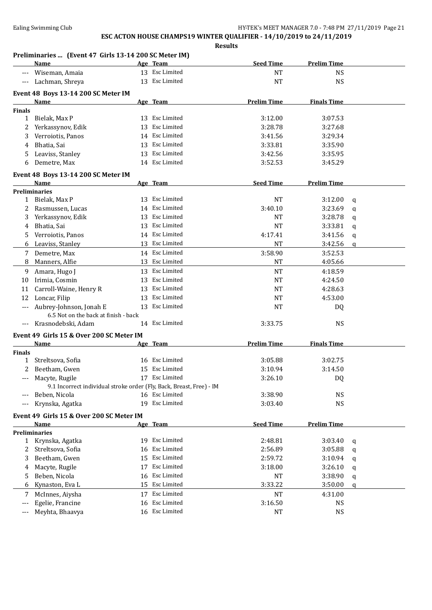|               | <u>Name</u>                                                          |    | Age Team       | <b>Seed Time</b>   | <b>Prelim Time</b> |             |
|---------------|----------------------------------------------------------------------|----|----------------|--------------------|--------------------|-------------|
|               | Wiseman, Amaia                                                       |    | 13 Esc Limited | <b>NT</b>          | <b>NS</b>          |             |
| ---           | Lachman, Shreya                                                      |    | 13 Esc Limited | <b>NT</b>          | <b>NS</b>          |             |
|               | Event 48 Boys 13-14 200 SC Meter IM                                  |    |                |                    |                    |             |
|               | Name                                                                 |    | Age Team       | <b>Prelim Time</b> | <b>Finals Time</b> |             |
| <b>Finals</b> |                                                                      |    |                |                    |                    |             |
| $\mathbf{1}$  | Bielak, Max P                                                        |    | 13 Esc Limited | 3:12.00            | 3:07.53            |             |
| 2             | Yerkassynov, Edik                                                    | 13 | Esc Limited    | 3:28.78            | 3:27.68            |             |
| 3             | Verroiotis, Panos                                                    |    | 14 Esc Limited | 3:41.56            | 3:29.34            |             |
| 4             | Bhatia, Sai                                                          |    | 13 Esc Limited | 3:33.81            | 3:35.90            |             |
| 5             | Leaviss, Stanley                                                     |    | 13 Esc Limited | 3:42.56            | 3:35.95            |             |
| 6             | Demetre, Max                                                         |    | 14 Esc Limited | 3:52.53            | 3:45.29            |             |
|               |                                                                      |    |                |                    |                    |             |
|               | Event 48 Boys 13-14 200 SC Meter IM<br>Name                          |    | Age Team       | <b>Seed Time</b>   | <b>Prelim Time</b> |             |
|               | <b>Preliminaries</b>                                                 |    |                |                    |                    |             |
|               | 1 Bielak, Max P                                                      |    | 13 Esc Limited | <b>NT</b>          | 3:12.00            | q           |
| 2             | Rasmussen, Lucas                                                     |    | 14 Esc Limited | 3:40.10            | 3:23.69            | $\mathbf q$ |
| 3             | Yerkassynov, Edik                                                    |    | 13 Esc Limited | NT                 | 3:28.78            | q           |
| 4             | Bhatia, Sai                                                          | 13 | Esc Limited    | NT                 | 3:33.81            | q           |
| 5             | Verroiotis, Panos                                                    |    | 14 Esc Limited | 4:17.41            | 3:41.56            | q           |
| 6             | Leaviss, Stanley                                                     |    | 13 Esc Limited | <b>NT</b>          | 3:42.56            | $\mathbf q$ |
| 7             | Demetre, Max                                                         |    | 14 Esc Limited | 3:58.90            | 3:52.53            |             |
| 8             | Manners, Alfie                                                       |    | 13 Esc Limited | <b>NT</b>          | 4:05.66            |             |
| 9             | Amara, Hugo J                                                        |    | 13 Esc Limited | <b>NT</b>          | 4:18.59            |             |
| 10            | Irimia, Cosmin                                                       | 13 | Esc Limited    | <b>NT</b>          | 4:24.50            |             |
| 11            | Carroll-Waine, Henry R                                               | 13 | Esc Limited    | <b>NT</b>          | 4:28.63            |             |
| 12            | Loncar, Filip                                                        | 13 | Esc Limited    | <b>NT</b>          | 4:53.00            |             |
|               | Aubrey-Johnson, Jonah E                                              | 13 | Esc Limited    | <b>NT</b>          | DQ                 |             |
|               | 6.5 Not on the back at finish - back                                 |    |                |                    |                    |             |
| $---$         | Krasnodebski, Adam                                                   |    | 14 Esc Limited | 3:33.75            | <b>NS</b>          |             |
|               | Event 49 Girls 15 & Over 200 SC Meter IM                             |    |                |                    |                    |             |
|               | <b>Name</b>                                                          |    | Age Team       | <b>Prelim Time</b> | <b>Finals Time</b> |             |
| <b>Finals</b> |                                                                      |    |                |                    |                    |             |
| 1             | Streltsova, Sofia                                                    |    | 16 Esc Limited | 3:05.88            | 3:02.75            |             |
| 2             | Beetham, Gwen                                                        |    | 15 Esc Limited | 3:10.94            | 3:14.50            |             |
| ---           | Macyte, Rugile                                                       |    | 17 Esc Limited | 3:26.10            | DQ                 |             |
|               | 9.1 Incorrect individual stroke order (Fly, Back, Breast, Free) - IM |    |                |                    |                    |             |
| $---$         | Beben, Nicola                                                        |    | 16 Esc Limited | 3:38.90            | <b>NS</b>          |             |
| ---           | Krynska, Agatka                                                      |    | 19 Esc Limited | 3:03.40            | <b>NS</b>          |             |
|               | Event 49 Girls 15 & Over 200 SC Meter IM                             |    |                |                    |                    |             |
|               | Name                                                                 |    | Age Team       | <b>Seed Time</b>   | <b>Prelim Time</b> |             |
|               | <b>Preliminaries</b>                                                 |    |                |                    |                    |             |
|               | 1 Krynska, Agatka                                                    | 19 | Esc Limited    | 2:48.81            | 3:03.40            | q           |
| 2             | Streltsova, Sofia                                                    | 16 | Esc Limited    | 2:56.89            | 3:05.88            | q           |
| 3             | Beetham, Gwen                                                        | 15 | Esc Limited    | 2:59.72            | 3:10.94            | q           |
| 4             | Macyte, Rugile                                                       | 17 | Esc Limited    | 3:18.00            | 3:26.10            | q           |
| 5.            | Beben, Nicola                                                        | 16 | Esc Limited    | <b>NT</b>          | 3:38.90            | q           |
| 6             | Kynaston, Eva L                                                      |    | 15 Esc Limited | 3:33.22            | 3:50.00            | q           |
| 7             | McInnes, Aiysha                                                      | 17 | Esc Limited    | <b>NT</b>          | 4:31.00            |             |
| ---           | Egelie, Francine                                                     | 16 | Esc Limited    | 3:16.50            | <b>NS</b>          |             |
| ---           | Meyhta, Bhaavya                                                      |    | 16 Esc Limited | NT                 | <b>NS</b>          |             |